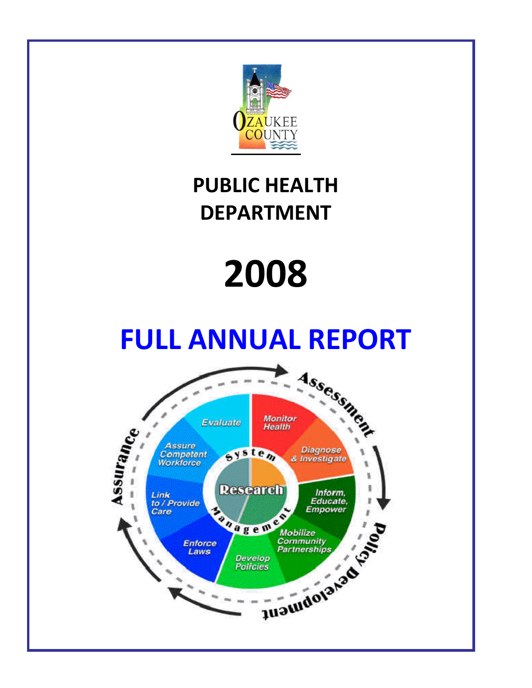

# **PUBLIC HEALTH DEPARTMENT**

# **2008**

# **FULL ANNUAL REPORT**

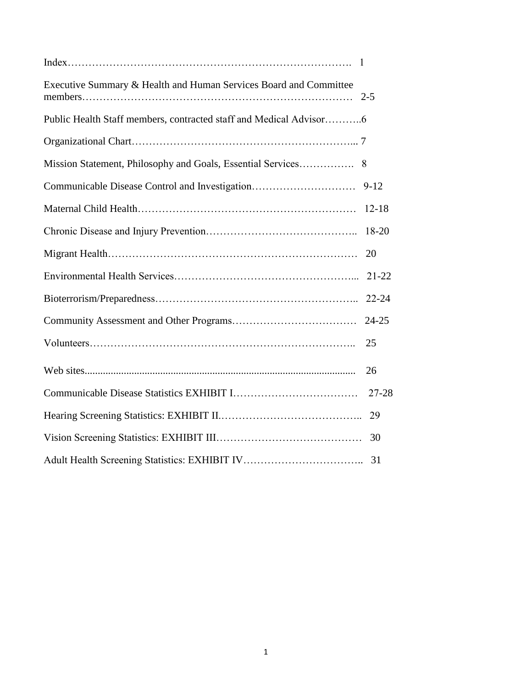| Executive Summary & Health and Human Services Board and Committee  |           |
|--------------------------------------------------------------------|-----------|
| Public Health Staff members, contracted staff and Medical Advisor6 |           |
|                                                                    |           |
| Mission Statement, Philosophy and Goals, Essential Services        | 8         |
| Communicable Disease Control and Investigation                     | $9 - 12$  |
|                                                                    | $12 - 18$ |
|                                                                    | 18-20     |
|                                                                    | 20        |
|                                                                    | $21 - 22$ |
|                                                                    | $22 - 24$ |
|                                                                    | 24-25     |
|                                                                    | 25        |
|                                                                    | 26        |
|                                                                    | $27 - 28$ |
|                                                                    | 29        |
|                                                                    | 30        |
|                                                                    |           |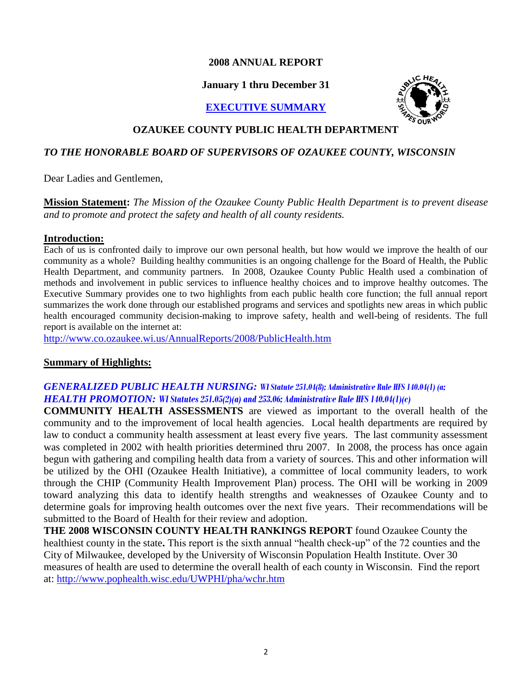#### **2008 ANNUAL REPORT**

#### **January 1 thru December 31**

#### **EXECUTIVE SUMMARY**



#### **OZAUKEE COUNTY PUBLIC HEALTH DEPARTMENT**

#### *TO THE HONORABLE BOARD OF SUPERVISORS OF OZAUKEE COUNTY, WISCONSIN*

Dear Ladies and Gentlemen,

**Mission Statement:** *The Mission of the Ozaukee County Public Health Department is to prevent disease and to promote and protect the safety and health of all county residents.*

#### **Introduction:**

Each of us is confronted daily to improve our own personal health, but how would we improve the health of our community as a whole? Building healthy communities is an ongoing challenge for the Board of Health, the Public Health Department, and community partners. In 2008, Ozaukee County Public Health used a combination of methods and involvement in public services to influence healthy choices and to improve healthy outcomes. The Executive Summary provides one to two highlights from each public health core function; the full annual report summarizes the work done through our established programs and services and spotlights new areas in which public health encouraged community decision-making to improve safety, health and well-being of residents. The full report is available on the internet at:

<http://www.co.ozaukee.wi.us/AnnualReports/2008/PublicHealth.htm>

#### **Summary of Highlights:**

#### *GENERALIZED PUBLIC HEALTH NURSING: WI Statute 251.04(8); Administrative Rule HFS 140.04(1) (a; HEALTH PROMOTION: WI Statutes 251.05(2)(a) and 253.06; Administrative Rule HFS 140.04(1)(c)*

**COMMUNITY HEALTH ASSESSMENTS** are viewed as important to the overall health of the community and to the improvement of local health agencies. Local health departments are required by law to conduct a community health assessment at least every five years. The last community assessment was completed in 2002 with health priorities determined thru 2007. In 2008, the process has once again begun with gathering and compiling health data from a variety of sources. This and other information will be utilized by the OHI (Ozaukee Health Initiative), a committee of local community leaders, to work through the CHIP (Community Health Improvement Plan) process. The OHI will be working in 2009 toward analyzing this data to identify health strengths and weaknesses of Ozaukee County and to determine goals for improving health outcomes over the next five years. Their recommendations will be submitted to the Board of Health for their review and adoption.

**THE 2008 WISCONSIN COUNTY HEALTH RANKINGS REPORT** found Ozaukee County the healthiest county in the state. This report is the sixth annual "health check-up" of the 72 counties and the City of Milwaukee, developed by the University of Wisconsin Population Health Institute. Over 30 measures of health are used to determine the overall health of each county in Wisconsin. Find the report at:<http://www.pophealth.wisc.edu/UWPHI/pha/wchr.htm>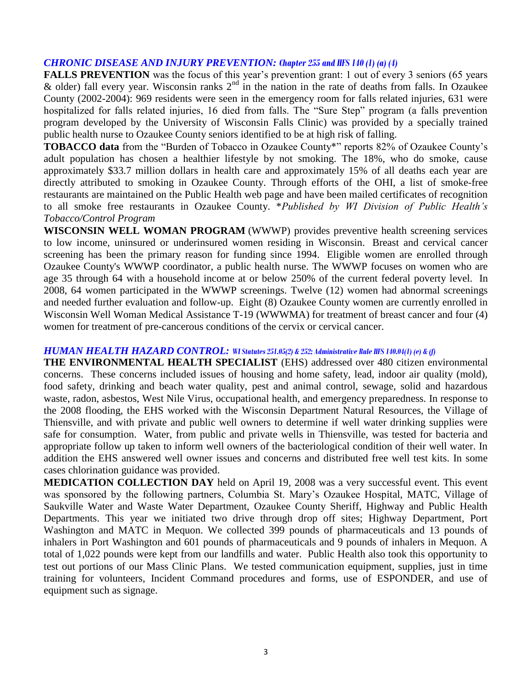#### *CHRONIC DISEASE AND INJURY PREVENTION: Chapter 255 and HFS 140 (1) (a) (4)*

**FALLS PREVENTION** was the focus of this year's prevention grant: 1 out of every 3 seniors (65 years)  $\&$  older) fall every year. Wisconsin ranks  $2<sup>nd</sup>$  in the nation in the rate of deaths from falls. In Ozaukee County (2002-2004): 969 residents were seen in the emergency room for falls related injuries, 631 were hospitalized for falls related injuries, 16 died from falls. The "Sure Step" program (a falls prevention program developed by the University of Wisconsin Falls Clinic) was provided by a specially trained public health nurse to Ozaukee County seniors identified to be at high risk of falling.

**TOBACCO data** from the "Burden of Tobacco in Ozaukee County\*" reports 82% of Ozaukee County's adult population has chosen a healthier lifestyle by not smoking. The 18%, who do smoke, cause approximately \$33.7 million dollars in health care and approximately 15% of all deaths each year are directly attributed to smoking in Ozaukee County. Through efforts of the OHI, a list of smoke-free restaurants are maintained on the Public Health web page and have been mailed certificates of recognition to all smoke free restaurants in Ozaukee County. \**Published by WI Division of Public Health's Tobacco/Control Program*

**WISCONSIN WELL WOMAN PROGRAM** (WWWP) provides preventive health screening services to low income, uninsured or underinsured women residing in Wisconsin. Breast and cervical cancer screening has been the primary reason for funding since 1994. Eligible women are enrolled through Ozaukee County's WWWP coordinator, a public health nurse. The WWWP focuses on women who are age 35 through 64 with a household income at or below 250% of the current federal poverty level. In 2008, 64 women participated in the WWWP screenings. Twelve (12) women had abnormal screenings and needed further evaluation and follow-up. Eight (8) Ozaukee County women are currently enrolled in Wisconsin Well Woman Medical Assistance T-19 (WWWMA) for treatment of breast cancer and four (4) women for treatment of pre-cancerous conditions of the cervix or cervical cancer.

#### *HUMAN HEALTH HAZARD CONTROL: WI Statutes 251.05(2) & 252; Administrative Rule HFS 140.04(1) (e) & (f)*

**THE ENVIRONMENTAL HEALTH SPECIALIST** (EHS) addressed over 480 citizen environmental concerns. These concerns included issues of housing and home safety, lead, indoor air quality (mold), food safety, drinking and beach water quality, pest and animal control, sewage, solid and hazardous waste, radon, asbestos, West Nile Virus, occupational health, and emergency preparedness. In response to the 2008 flooding, the EHS worked with the Wisconsin Department Natural Resources, the Village of Thiensville, and with private and public well owners to determine if well water drinking supplies were safe for consumption. Water, from public and private wells in Thiensville, was tested for bacteria and appropriate follow up taken to inform well owners of the bacteriological condition of their well water. In addition the EHS answered well owner issues and concerns and distributed free well test kits. In some cases chlorination guidance was provided.

**MEDICATION COLLECTION DAY** held on April 19, 2008 was a very successful event. This event was sponsored by the following partners, Columbia St. Mary's Ozaukee Hospital, MATC, Village of Saukville Water and Waste Water Department, Ozaukee County Sheriff, Highway and Public Health Departments. This year we initiated two drive through drop off sites; Highway Department, Port Washington and MATC in Mequon. We collected 399 pounds of pharmaceuticals and 13 pounds of inhalers in Port Washington and 601 pounds of pharmaceuticals and 9 pounds of inhalers in Mequon. A total of 1,022 pounds were kept from our landfills and water. Public Health also took this opportunity to test out portions of our Mass Clinic Plans. We tested communication equipment, supplies, just in time training for volunteers, Incident Command procedures and forms, use of ESPONDER, and use of equipment such as signage.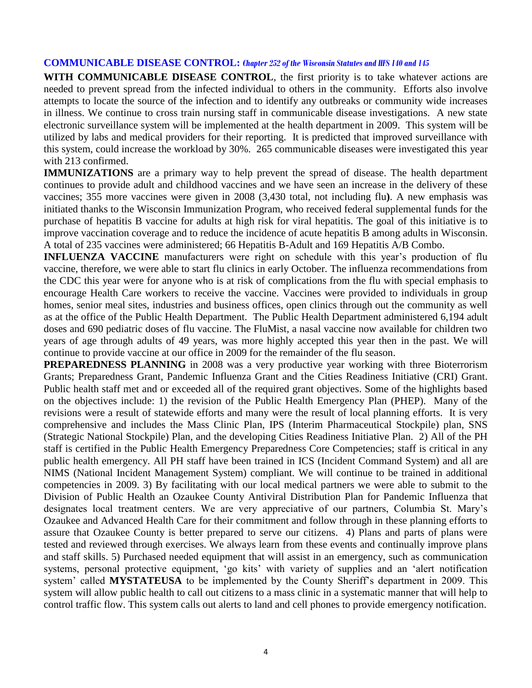#### **COMMUNICABLE DISEASE CONTROL:** *Chapter 252 of the Wisconsin Statutes and HFS 140 and 145*

**WITH COMMUNICABLE DISEASE CONTROL**, the first priority is to take whatever actions are needed to prevent spread from the infected individual to others in the community. Efforts also involve attempts to locate the source of the infection and to identify any outbreaks or community wide increases in illness. We continue to cross train nursing staff in communicable disease investigations. A new state electronic surveillance system will be implemented at the health department in 2009. This system will be utilized by labs and medical providers for their reporting. It is predicted that improved surveillance with this system, could increase the workload by 30%. 265 communicable diseases were investigated this year with 213 confirmed.

**IMMUNIZATIONS** are a primary way to help prevent the spread of disease. The health department continues to provide adult and childhood vaccines and we have seen an increase in the delivery of these vaccines; 355 more vaccines were given in 2008 (3,430 total, not including flu**)**. A new emphasis was initiated thanks to the Wisconsin Immunization Program, who received federal supplemental funds for the purchase of hepatitis B vaccine for adults at high risk for viral hepatitis. The goal of this initiative is to improve vaccination coverage and to reduce the incidence of acute hepatitis B among adults in Wisconsin. A total of 235 vaccines were administered; 66 Hepatitis B-Adult and 169 Hepatitis A/B Combo.

**INFLUENZA VACCINE** manufacturers were right on schedule with this year's production of flu vaccine, therefore, we were able to start flu clinics in early October. The influenza recommendations from the CDC this year were for anyone who is at risk of complications from the flu with special emphasis to encourage Health Care workers to receive the vaccine. Vaccines were provided to individuals in group homes, senior meal sites, industries and business offices, open clinics through out the community as well as at the office of the Public Health Department. The Public Health Department administered 6,194 adult doses and 690 pediatric doses of flu vaccine. The FluMist, a nasal vaccine now available for children two years of age through adults of 49 years, was more highly accepted this year then in the past. We will continue to provide vaccine at our office in 2009 for the remainder of the flu season.

**PREPAREDNESS PLANNING** in 2008 was a very productive year working with three Bioterrorism Grants; Preparedness Grant, Pandemic Influenza Grant and the Cities Readiness Initiative (CRI) Grant. Public health staff met and or exceeded all of the required grant objectives. Some of the highlights based on the objectives include: 1) the revision of the Public Health Emergency Plan (PHEP). Many of the revisions were a result of statewide efforts and many were the result of local planning efforts. It is very comprehensive and includes the Mass Clinic Plan, IPS (Interim Pharmaceutical Stockpile) plan, SNS (Strategic National Stockpile) Plan, and the developing Cities Readiness Initiative Plan. 2) All of the PH staff is certified in the Public Health Emergency Preparedness Core Competencies; staff is critical in any public health emergency. All PH staff have been trained in ICS (Incident Command System) and all are NIMS (National Incident Management System) compliant. We will continue to be trained in additional competencies in 2009. 3) By facilitating with our local medical partners we were able to submit to the Division of Public Health an Ozaukee County Antiviral Distribution Plan for Pandemic Influenza that designates local treatment centers. We are very appreciative of our partners, Columbia St. Mary's Ozaukee and Advanced Health Care for their commitment and follow through in these planning efforts to assure that Ozaukee County is better prepared to serve our citizens. 4) Plans and parts of plans were tested and reviewed through exercises. We always learn from these events and continually improve plans and staff skills. 5) Purchased needed equipment that will assist in an emergency, such as communication systems, personal protective equipment, 'go kits' with variety of supplies and an 'alert notification system' called **MYSTATEUSA** to be implemented by the County Sheriff's department in 2009. This system will allow public health to call out citizens to a mass clinic in a systematic manner that will help to control traffic flow. This system calls out alerts to land and cell phones to provide emergency notification.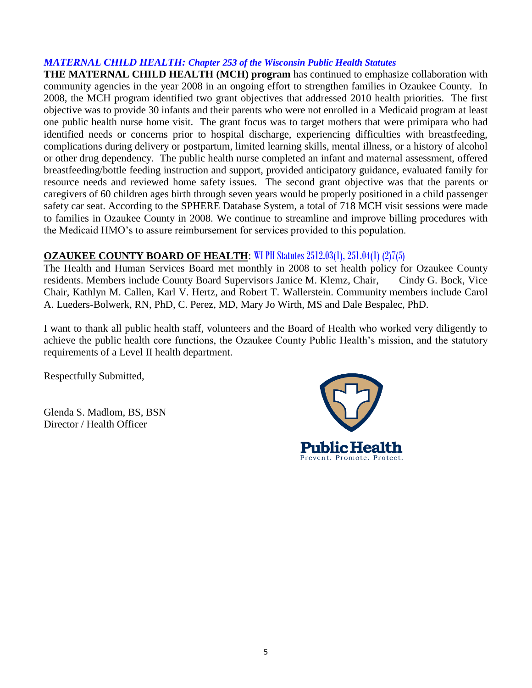#### *MATERNAL CHILD HEALTH: Chapter 253 of the Wisconsin Public Health Statutes*

**THE MATERNAL CHILD HEALTH (MCH) program** has continued to emphasize collaboration with community agencies in the year 2008 in an ongoing effort to strengthen families in Ozaukee County. In 2008, the MCH program identified two grant objectives that addressed 2010 health priorities. The first objective was to provide 30 infants and their parents who were not enrolled in a Medicaid program at least one public health nurse home visit. The grant focus was to target mothers that were primipara who had identified needs or concerns prior to hospital discharge, experiencing difficulties with breastfeeding, complications during delivery or postpartum, limited learning skills, mental illness, or a history of alcohol or other drug dependency. The public health nurse completed an infant and maternal assessment, offered breastfeeding/bottle feeding instruction and support, provided anticipatory guidance, evaluated family for resource needs and reviewed home safety issues. The second grant objective was that the parents or caregivers of 60 children ages birth through seven years would be properly positioned in a child passenger safety car seat. According to the SPHERE Database System, a total of 718 MCH visit sessions were made to families in Ozaukee County in 2008. We continue to streamline and improve billing procedures with the Medicaid HMO's to assure reimbursement for services provided to this population.

#### **OZAUKEE COUNTY BOARD OF HEALTH**: WI PH Statutes 2512.03(1), 251.04(1) (2)7(5)

The Health and Human Services Board met monthly in 2008 to set health policy for Ozaukee County residents. Members include County Board Supervisors Janice M. Klemz, Chair, Cindy G. Bock, Vice Chair, Kathlyn M. Callen, Karl V. Hertz, and Robert T. Wallerstein. Community members include Carol A. Lueders-Bolwerk, RN, PhD, C. Perez, MD, Mary Jo Wirth, MS and Dale Bespalec, PhD.

I want to thank all public health staff, volunteers and the Board of Health who worked very diligently to achieve the public health core functions, the Ozaukee County Public Health's mission, and the statutory requirements of a Level II health department.

Respectfully Submitted,

Glenda S. Madlom, BS, BSN Director / Health Officer

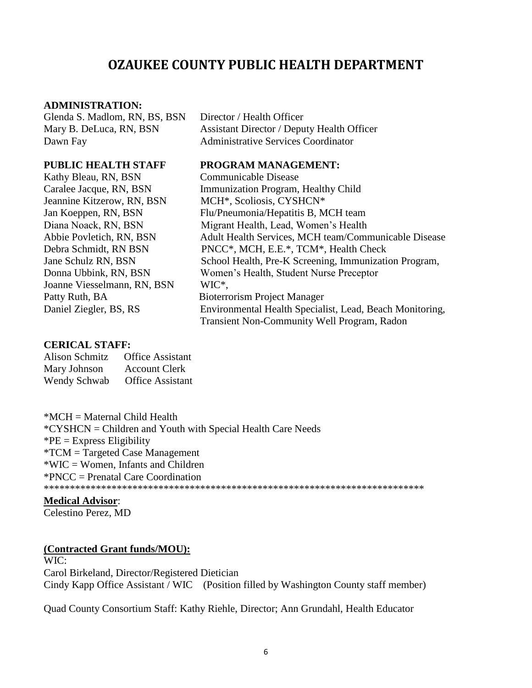# **OZAUKEE COUNTY PUBLIC HEALTH DEPARTMENT**

#### **ADMINISTRATION:**

Glenda S. Madlom, RN, BS, BSN Director / Health Officer Dawn Fay **Administrative Services Coordinator** 

Kathy Bleau, RN, BSN Communicable Disease Jeannine Kitzerow, RN, BSN MCH\*, Scoliosis, CYSHCN\* Joanne Viesselmann, RN, BSN WIC\*, Patty Ruth, BA Bioterrorism Project Manager

Mary B. DeLuca, RN, BSN Assistant Director / Deputy Health Officer

#### **PUBLIC HEALTH STAFF PROGRAM MANAGEMENT:**

Caralee Jacque, RN, BSN Immunization Program, Healthy Child Jan Koeppen, RN, BSN Flu/Pneumonia/Hepatitis B, MCH team Diana Noack, RN, BSN Migrant Health, Lead, Women's Health Abbie Povletich, RN, BSN Adult Health Services, MCH team/Communicable Disease Debra Schmidt, RN BSN PNCC\*, MCH, E.E.\*, TCM\*, Health Check Jane Schulz RN, BSN School Health, Pre-K Screening, Immunization Program, Donna Ubbink, RN, BSN Women's Health, Student Nurse Preceptor Daniel Ziegler, BS, RS Environmental Health Specialist, Lead, Beach Monitoring, Transient Non-Community Well Program, Radon

#### **CERICAL STAFF:**

| <b>Alison Schmitz</b> | <b>Office Assistant</b> |
|-----------------------|-------------------------|
| Mary Johnson          | <b>Account Clerk</b>    |
| Wendy Schwab          | <b>Office Assistant</b> |

\*MCH = Maternal Child Health \*CYSHCN = Children and Youth with Special Health Care Needs  $P^*PE =$  Express Eligibility \*TCM = Targeted Case Management \*WIC = Women, Infants and Children \*PNCC = Prenatal Care Coordination \*\*\*\*\*\*\*\*\*\*\*\*\*\*\*\*\*\*\*\*\*\*\*\*\*\*\*\*\*\*\*\*\*\*\*\*\*\*\*\*\*\*\*\*\*\*\*\*\*\*\*\*\*\*\*\*\*\*\*\*\*\*\*\*\*\*\*\*\*\*\*\*\*

#### **Medical Advisor**:

Celestino Perez, MD

#### **(Contracted Grant funds/MOU):**

WIC: Carol Birkeland, Director/Registered Dietician Cindy Kapp Office Assistant / WIC (Position filled by Washington County staff member)

Quad County Consortium Staff: Kathy Riehle, Director; Ann Grundahl, Health Educator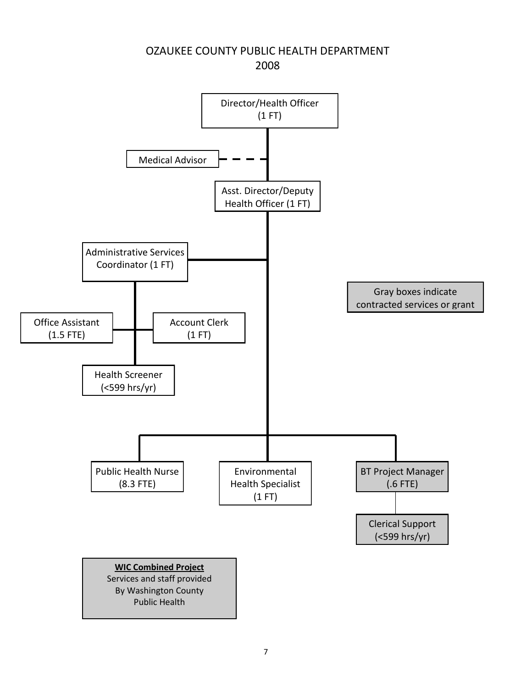# Office Assistant (1.5 FTE) 2008 Director/Health Officer (1 FT) Medical Advisor Asst. Director/Deputy Health Officer (1 FT) Administrative Services Coordinator (1 FT) Account Clerk (1 FT) Health Screener (<599 hrs/yr) Public Health Nurse (8.3 FTE) Environmental Health Specialist (1 FT) BT Project Manager (.6 FTE) Clerical Support (<599 hrs/yr) **WIC Combined Project** Services and staff provided By Washington County Public Health Gray boxes indicate contracted services or grant

### OZAUKEE COUNTY PUBLIC HEALTH DEPARTMENT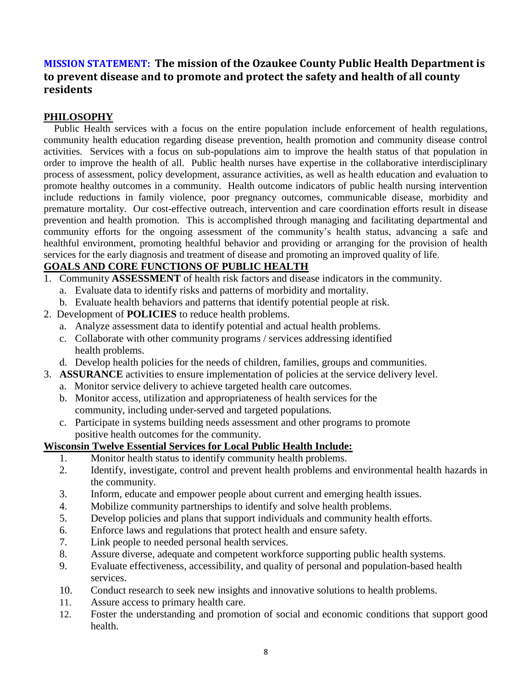### **MISSION STATEMENT: The mission of the Ozaukee County Public Health Department is to prevent disease and to promote and protect the safety and health of all county residents**

#### **PHILOSOPHY**

 Public Health services with a focus on the entire population include enforcement of health regulations, community health education regarding disease prevention, health promotion and community disease control activities. Services with a focus on sub-populations aim to improve the health status of that population in order to improve the health of all. Public health nurses have expertise in the collaborative interdisciplinary process of assessment, policy development, assurance activities, as well as health education and evaluation to promote healthy outcomes in a community. Health outcome indicators of public health nursing intervention include reductions in family violence, poor pregnancy outcomes, communicable disease, morbidity and premature mortality. Our cost-effective outreach, intervention and care coordination efforts result in disease prevention and health promotion. This is accomplished through managing and facilitating departmental and community efforts for the ongoing assessment of the community's health status, advancing a safe and healthful environment, promoting healthful behavior and providing or arranging for the provision of health services for the early diagnosis and treatment of disease and promoting an improved quality of life.

#### **GOALS AND CORE FUNCTIONS OF PUBLIC HEALTH**

- 1. Community **ASSESSMENT** of health risk factors and disease indicators in the community.
	- a. Evaluate data to identify risks and patterns of morbidity and mortality.
	- b. Evaluate health behaviors and patterns that identify potential people at risk.
- 2. Development of **POLICIES** to reduce health problems.
	- a. Analyze assessment data to identify potential and actual health problems.
	- c. Collaborate with other community programs / services addressing identified health problems.
	- d. Develop health policies for the needs of children, families, groups and communities.
- 3. **ASSURANCE** activities to ensure implementation of policies at the service delivery level.
	- a. Monitor service delivery to achieve targeted health care outcomes.
	- b. Monitor access, utilization and appropriateness of health services for the community, including under-served and targeted populations.
	- c. Participate in systems building needs assessment and other programs to promote positive health outcomes for the community.

#### **Wisconsin Twelve Essential Services for Local Public Health Include:**

- 1. Monitor health status to identify community health problems.
- 2. Identify, investigate, control and prevent health problems and environmental health hazards in the community.
- 3. Inform, educate and empower people about current and emerging health issues.
- 4. Mobilize community partnerships to identify and solve health problems.
- 5. Develop policies and plans that support individuals and community health efforts.
- 6. Enforce laws and regulations that protect health and ensure safety.
- 7. Link people to needed personal health services.
- 8. Assure diverse, adequate and competent workforce supporting public health systems.
- 9. Evaluate effectiveness, accessibility, and quality of personal and population-based health services.
- 10. Conduct research to seek new insights and innovative solutions to health problems.
- 11. Assure access to primary health care.
- 12. Foster the understanding and promotion of social and economic conditions that support good health.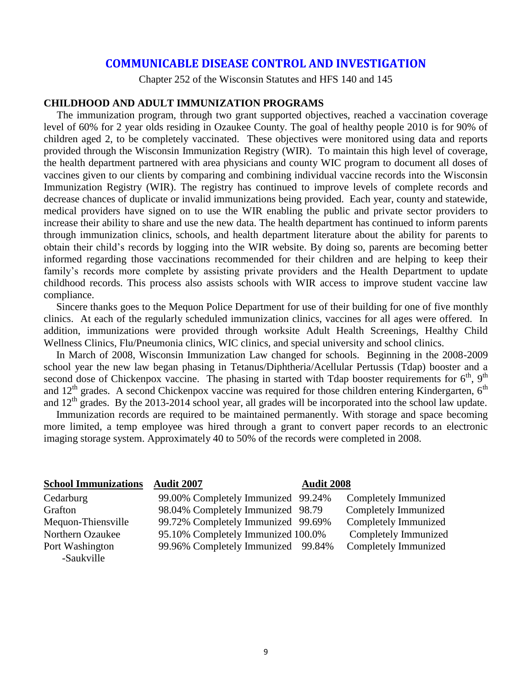#### **COMMUNICABLE DISEASE CONTROL AND INVESTIGATION**

Chapter 252 of the Wisconsin Statutes and HFS 140 and 145

#### **CHILDHOOD AND ADULT IMMUNIZATION PROGRAMS**

 The immunization program, through two grant supported objectives, reached a vaccination coverage level of 60% for 2 year olds residing in Ozaukee County. The goal of healthy people 2010 is for 90% of children aged 2, to be completely vaccinated. These objectives were monitored using data and reports provided through the Wisconsin Immunization Registry (WIR). To maintain this high level of coverage, the health department partnered with area physicians and county WIC program to document all doses of vaccines given to our clients by comparing and combining individual vaccine records into the Wisconsin Immunization Registry (WIR). The registry has continued to improve levels of complete records and decrease chances of duplicate or invalid immunizations being provided. Each year, county and statewide, medical providers have signed on to use the WIR enabling the public and private sector providers to increase their ability to share and use the new data. The health department has continued to inform parents through immunization clinics, schools, and health department literature about the ability for parents to obtain their child's records by logging into the WIR website. By doing so, parents are becoming better informed regarding those vaccinations recommended for their children and are helping to keep their family's records more complete by assisting private providers and the Health Department to update childhood records. This process also assists schools with WIR access to improve student vaccine law compliance.

Sincere thanks goes to the Mequon Police Department for use of their building for one of five monthly clinics. At each of the regularly scheduled immunization clinics, vaccines for all ages were offered. In addition, immunizations were provided through worksite Adult Health Screenings, Healthy Child Wellness Clinics, Flu/Pneumonia clinics, WIC clinics, and special university and school clinics.

In March of 2008, Wisconsin Immunization Law changed for schools. Beginning in the 2008-2009 school year the new law began phasing in Tetanus/Diphtheria/Acellular Pertussis (Tdap) booster and a second dose of Chickenpox vaccine. The phasing in started with Tdap booster requirements for  $6<sup>th</sup>$ ,  $9<sup>th</sup>$ and 12<sup>th</sup> grades. A second Chickenpox vaccine was required for those children entering Kindergarten, 6<sup>th</sup> and 12<sup>th</sup> grades. By the 2013-2014 school year, all grades will be incorporated into the school law update.

Immunization records are required to be maintained permanently. With storage and space becoming more limited, a temp employee was hired through a grant to convert paper records to an electronic imaging storage system. Approximately 40 to 50% of the records were completed in 2008.

| <b>School Immunizations</b> | <b>Audit 2007</b>                  | <b>Audit 2008</b> |                      |
|-----------------------------|------------------------------------|-------------------|----------------------|
| Cedarburg                   | 99.00% Completely Immunized 99.24% |                   | Completely Immunized |
| Grafton                     | 98.04% Completely Immunized 98.79  |                   | Completely Immunized |
| Mequon-Thiensville          | 99.72% Completely Immunized 99.69% |                   | Completely Immunized |
| Northern Ozaukee            | 95.10% Completely Immunized 100.0% |                   | Completely Immunized |
| Port Washington             | 99.96% Completely Immunized 99.84% |                   | Completely Immunized |
| -Saukville                  |                                    |                   |                      |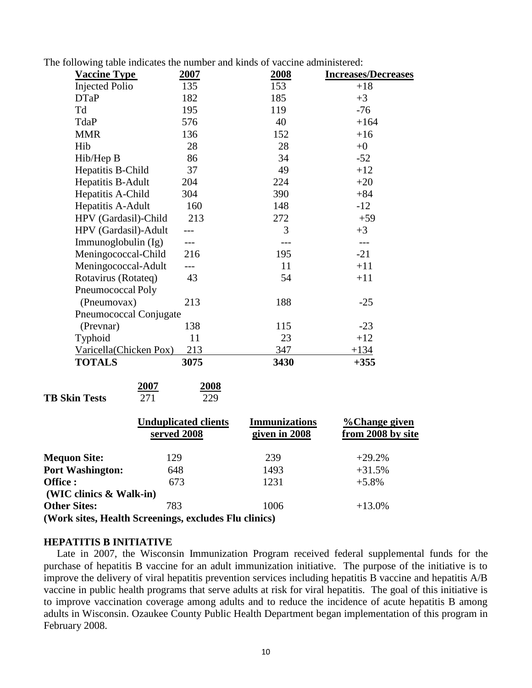The following table indicates the number and kinds of vaccine administered:

| 135<br>182<br>195<br>576      | 2008<br>153<br>185<br>119 | <b>Increases/Decreases</b><br>$+18$<br>$+3$ |
|-------------------------------|---------------------------|---------------------------------------------|
|                               |                           |                                             |
|                               |                           |                                             |
|                               |                           | $-76$                                       |
|                               | 40                        | $+164$                                      |
| 136                           | 152                       | $+16$                                       |
| 28                            | 28                        | $+0$                                        |
| 86                            | 34                        | $-52$                                       |
| 37                            | 49                        | $+12$                                       |
| 204                           | 224                       | $+20$                                       |
| 304                           | 390                       | $+84$                                       |
| 160                           | 148                       | $-12$                                       |
| 213                           | 272                       | $+59$                                       |
|                               | 3                         | $+3$                                        |
|                               |                           |                                             |
| 216                           | 195                       | $-21$                                       |
| ---                           | 11                        | $+11$                                       |
| 43                            | 54                        | $+11$                                       |
|                               |                           |                                             |
| 213                           | 188                       | $-25$                                       |
| Pneumococcal Conjugate        |                           |                                             |
| 138                           | 115                       | $-23$                                       |
| 11                            | 23                        | $+12$                                       |
| Varicella(Chicken Pox)<br>213 | 347                       | $+134$                                      |
| 3075                          | 3430                      | $+355$                                      |
|                               |                           |                                             |

|                      | 2007 | 2008 |
|----------------------|------|------|
| <b>TB Skin Tests</b> | 271  | 229  |

|                            | <b>Unduplicated clients</b><br>served 2008            | <b>Immunizations</b><br>given in 2008 | %Change given<br>from 2008 by site |
|----------------------------|-------------------------------------------------------|---------------------------------------|------------------------------------|
| <b>Mequon Site:</b>        | 129                                                   | 239                                   | $+29.2%$                           |
| <b>Port Washington:</b>    | 648                                                   | 1493                                  | $+31.5%$                           |
| Office :                   | 673                                                   | 1231                                  | $+5.8\%$                           |
| (WIC clinics $\&$ Walk-in) |                                                       |                                       |                                    |
| <b>Other Sites:</b>        | 783                                                   | 1006                                  | $+13.0\%$                          |
|                            | (Work sites, Health Screenings, excludes Flu clinics) |                                       |                                    |

#### **HEPATITIS B INITIATIVE**

 Late in 2007, the Wisconsin Immunization Program received federal supplemental funds for the purchase of hepatitis B vaccine for an adult immunization initiative. The purpose of the initiative is to improve the delivery of viral hepatitis prevention services including hepatitis B vaccine and hepatitis A/B vaccine in public health programs that serve adults at risk for viral hepatitis. The goal of this initiative is to improve vaccination coverage among adults and to reduce the incidence of acute hepatitis B among adults in Wisconsin. Ozaukee County Public Health Department began implementation of this program in February 2008.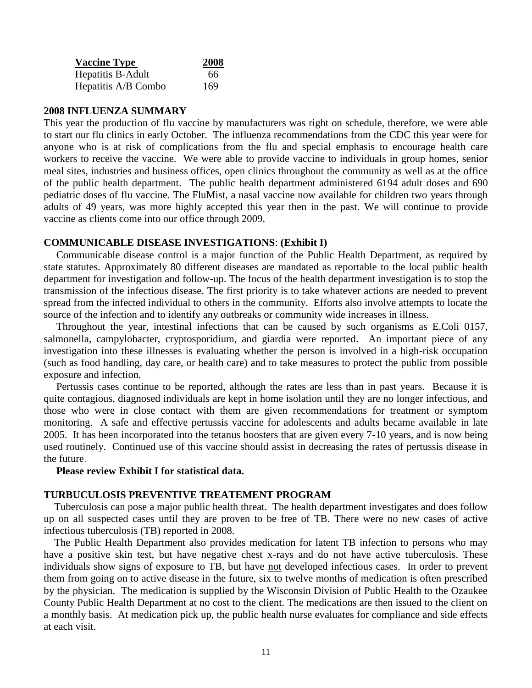| <b>Vaccine Type</b> | 2008 |
|---------------------|------|
| Hepatitis B-Adult   | 66   |
| Hepatitis A/B Combo | 169  |

#### **2008 INFLUENZA SUMMARY**

This year the production of flu vaccine by manufacturers was right on schedule, therefore, we were able to start our flu clinics in early October. The influenza recommendations from the CDC this year were for anyone who is at risk of complications from the flu and special emphasis to encourage health care workers to receive the vaccine. We were able to provide vaccine to individuals in group homes, senior meal sites, industries and business offices, open clinics throughout the community as well as at the office of the public health department. The public health department administered 6194 adult doses and 690 pediatric doses of flu vaccine. The FluMist, a nasal vaccine now available for children two years through adults of 49 years, was more highly accepted this year then in the past. We will continue to provide vaccine as clients come into our office through 2009.

#### **COMMUNICABLE DISEASE INVESTIGATIONS**: **(Exhibit I)**

Communicable disease control is a major function of the Public Health Department, as required by state statutes. Approximately 80 different diseases are mandated as reportable to the local public health department for investigation and follow-up. The focus of the health department investigation is to stop the transmission of the infectious disease. The first priority is to take whatever actions are needed to prevent spread from the infected individual to others in the community. Efforts also involve attempts to locate the source of the infection and to identify any outbreaks or community wide increases in illness.

Throughout the year, intestinal infections that can be caused by such organisms as E.Coli 0157, salmonella, campylobacter, cryptosporidium, and giardia were reported. An important piece of any investigation into these illnesses is evaluating whether the person is involved in a high-risk occupation (such as food handling, day care, or health care) and to take measures to protect the public from possible exposure and infection.

Pertussis cases continue to be reported, although the rates are less than in past years. Because it is quite contagious, diagnosed individuals are kept in home isolation until they are no longer infectious, and those who were in close contact with them are given recommendations for treatment or symptom monitoring. A safe and effective pertussis vaccine for adolescents and adults became available in late 2005. It has been incorporated into the tetanus boosters that are given every 7-10 years, and is now being used routinely. Continued use of this vaccine should assist in decreasing the rates of pertussis disease in the future.

#### **Please review Exhibit I for statistical data.**

#### **TURBUCULOSIS PREVENTIVE TREATEMENT PROGRAM**

 Tuberculosis can pose a major public health threat. The health department investigates and does follow up on all suspected cases until they are proven to be free of TB. There were no new cases of active infectious tuberculosis (TB) reported in 2008.

 The Public Health Department also provides medication for latent TB infection to persons who may have a positive skin test, but have negative chest x-rays and do not have active tuberculosis. These individuals show signs of exposure to TB, but have not developed infectious cases. In order to prevent them from going on to active disease in the future, six to twelve months of medication is often prescribed by the physician. The medication is supplied by the Wisconsin Division of Public Health to the Ozaukee County Public Health Department at no cost to the client. The medications are then issued to the client on a monthly basis. At medication pick up, the public health nurse evaluates for compliance and side effects at each visit.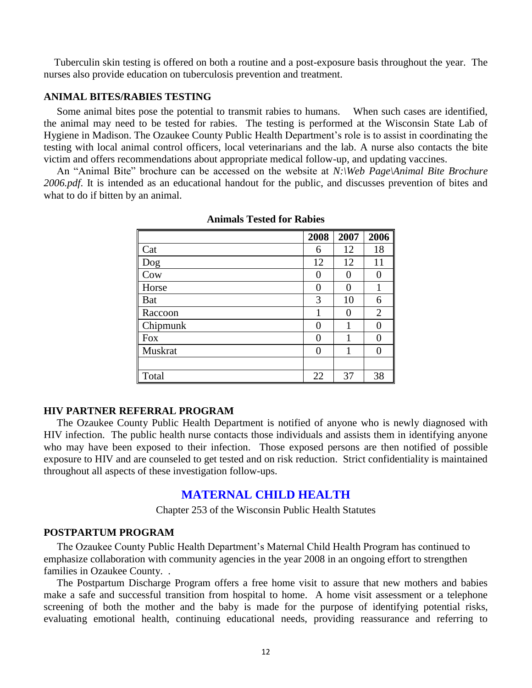Tuberculin skin testing is offered on both a routine and a post-exposure basis throughout the year. The nurses also provide education on tuberculosis prevention and treatment.

#### **ANIMAL BITES/RABIES TESTING**

 Some animal bites pose the potential to transmit rabies to humans. When such cases are identified, the animal may need to be tested for rabies. The testing is performed at the Wisconsin State Lab of Hygiene in Madison. The Ozaukee County Public Health Department's role is to assist in coordinating the testing with local animal control officers, local veterinarians and the lab. A nurse also contacts the bite victim and offers recommendations about appropriate medical follow-up, and updating vaccines.

An "Animal Bite" brochure can be accessed on the website at *N*:\Web Page\Animal Bite Brochure *2006.pdf*. It is intended as an educational handout for the public, and discusses prevention of bites and what to do if bitten by an animal.

|            | 2008 | 2007 | 2006           |
|------------|------|------|----------------|
| Cat        | 6    | 12   | 18             |
| Dog        | 12   | 12   | 11             |
| Cow        | 0    |      | 0              |
| Horse      | 0    |      |                |
| <b>Bat</b> | 3    | 10   | 6              |
| Raccoon    | 1    | 0    | $\overline{2}$ |
| Chipmunk   | 0    |      | 0              |
| <b>Fox</b> | 0    |      | 0              |
| Muskrat    | 0    | 1    | 0              |
|            |      |      |                |
| Total      | 22   | 37   | 38             |

#### **Animals Tested for Rabies**

#### **HIV PARTNER REFERRAL PROGRAM**

 The Ozaukee County Public Health Department is notified of anyone who is newly diagnosed with HIV infection. The public health nurse contacts those individuals and assists them in identifying anyone who may have been exposed to their infection. Those exposed persons are then notified of possible exposure to HIV and are counseled to get tested and on risk reduction. Strict confidentiality is maintained throughout all aspects of these investigation follow-ups.

#### **MATERNAL CHILD HEALTH**

Chapter 253 of the Wisconsin Public Health Statutes

#### **POSTPARTUM PROGRAM**

 The Ozaukee County Public Health Department's Maternal Child Health Program has continued to emphasize collaboration with community agencies in the year 2008 in an ongoing effort to strengthen families in Ozaukee County. .

 The Postpartum Discharge Program offers a free home visit to assure that new mothers and babies make a safe and successful transition from hospital to home. A home visit assessment or a telephone screening of both the mother and the baby is made for the purpose of identifying potential risks, evaluating emotional health, continuing educational needs, providing reassurance and referring to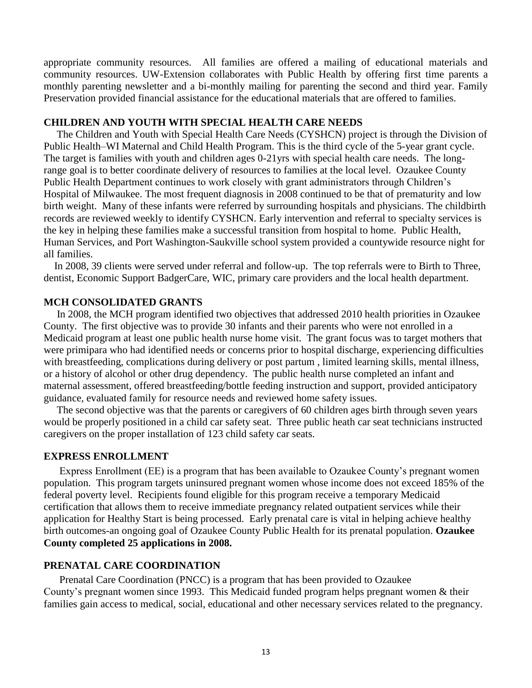appropriate community resources. All families are offered a mailing of educational materials and community resources. UW-Extension collaborates with Public Health by offering first time parents a monthly parenting newsletter and a bi-monthly mailing for parenting the second and third year. Family Preservation provided financial assistance for the educational materials that are offered to families.

#### **CHILDREN AND YOUTH WITH SPECIAL HEALTH CARE NEEDS**

 The Children and Youth with Special Health Care Needs (CYSHCN) project is through the Division of Public Health–WI Maternal and Child Health Program. This is the third cycle of the 5-year grant cycle. The target is families with youth and children ages 0-21yrs with special health care needs. The longrange goal is to better coordinate delivery of resources to families at the local level. Ozaukee County Public Health Department continues to work closely with grant administrators through Children's Hospital of Milwaukee. The most frequent diagnosis in 2008 continued to be that of prematurity and low birth weight. Many of these infants were referred by surrounding hospitals and physicians. The childbirth records are reviewed weekly to identify CYSHCN. Early intervention and referral to specialty services is the key in helping these families make a successful transition from hospital to home. Public Health, Human Services, and Port Washington-Saukville school system provided a countywide resource night for all families.

 In 2008, 39 clients were served under referral and follow-up. The top referrals were to Birth to Three, dentist, Economic Support BadgerCare, WIC, primary care providers and the local health department.

#### **MCH CONSOLIDATED GRANTS**

 In 2008, the MCH program identified two objectives that addressed 2010 health priorities in Ozaukee County. The first objective was to provide 30 infants and their parents who were not enrolled in a Medicaid program at least one public health nurse home visit. The grant focus was to target mothers that were primipara who had identified needs or concerns prior to hospital discharge, experiencing difficulties with breastfeeding, complications during delivery or post partum, limited learning skills, mental illness, or a history of alcohol or other drug dependency. The public health nurse completed an infant and maternal assessment, offered breastfeeding/bottle feeding instruction and support, provided anticipatory guidance, evaluated family for resource needs and reviewed home safety issues.

 The second objective was that the parents or caregivers of 60 children ages birth through seven years would be properly positioned in a child car safety seat. Three public heath car seat technicians instructed caregivers on the proper installation of 123 child safety car seats.

#### **EXPRESS ENROLLMENT**

 Express Enrollment (EE) is a program that has been available to Ozaukee County's pregnant women population. This program targets uninsured pregnant women whose income does not exceed 185% of the federal poverty level. Recipients found eligible for this program receive a temporary Medicaid certification that allows them to receive immediate pregnancy related outpatient services while their application for Healthy Start is being processed. Early prenatal care is vital in helping achieve healthy birth outcomes-an ongoing goal of Ozaukee County Public Health for its prenatal population. **Ozaukee County completed 25 applications in 2008.**

#### **PRENATAL CARE COORDINATION**

 Prenatal Care Coordination (PNCC) is a program that has been provided to Ozaukee County's pregnant women since 1993. This Medicaid funded program helps pregnant women & their families gain access to medical, social, educational and other necessary services related to the pregnancy.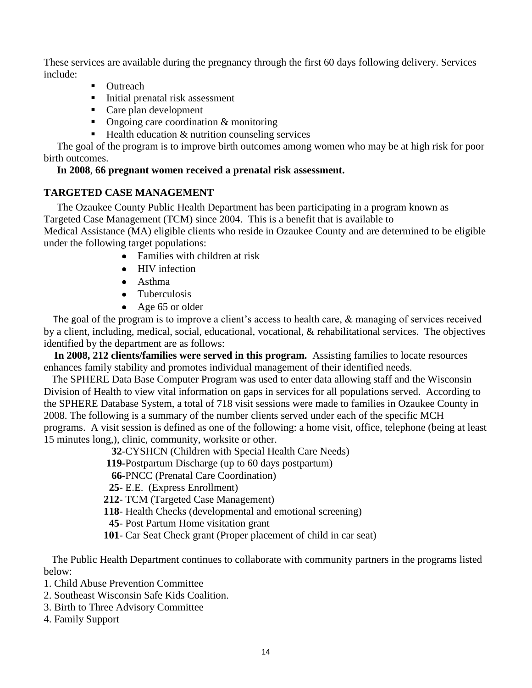These services are available during the pregnancy through the first 60 days following delivery. Services include:

- Outreach
- Initial prenatal risk assessment
- Care plan development
- Ongoing care coordination & monitoring
- $\blacksquare$  Health education  $\&$  nutrition counseling services

 The goal of the program is to improve birth outcomes among women who may be at high risk for poor birth outcomes.

#### **In 2008**, **66 pregnant women received a prenatal risk assessment.**

#### **TARGETED CASE MANAGEMENT**

 The Ozaukee County Public Health Department has been participating in a program known as Targeted Case Management (TCM) since 2004. This is a benefit that is available to Medical Assistance (MA) eligible clients who reside in Ozaukee County and are determined to be eligible under the following target populations:

- Families with children at risk
- HIV infection
- Asthma
- Tuberculosis
- $\triangle$  Age 65 or older

 The goal of the program is to improve a client's access to health care, & managing of services received by a client, including, medical, social, educational, vocational, & rehabilitational services. The objectives identified by the department are as follows:

 **In 2008, 212 clients/families were served in this program.** Assisting families to locate resources enhances family stability and promotes individual management of their identified needs.

 The SPHERE Data Base Computer Program was used to enter data allowing staff and the Wisconsin Division of Health to view vital information on gaps in services for all populations served. According to the SPHERE Database System, a total of 718 visit sessions were made to families in Ozaukee County in 2008. The following is a summary of the number clients served under each of the specific MCH programs. A visit session is defined as one of the following: a home visit, office, telephone (being at least 15 minutes long,), clinic, community, worksite or other.

**32**-CYSHCN (Children with Special Health Care Needs)

**119-**Postpartum Discharge (up to 60 days postpartum)

**66-**PNCC (Prenatal Care Coordination)

**25**- E.E. (Express Enrollment)

- **212** TCM (Targeted Case Management)
- **118** Health Checks (developmental and emotional screening)
- **45** Post Partum Home visitation grant
- **101** Car Seat Check grant (Proper placement of child in car seat)

 The Public Health Department continues to collaborate with community partners in the programs listed below:

- 1. Child Abuse Prevention Committee
- 2. Southeast Wisconsin Safe Kids Coalition.
- 3. Birth to Three Advisory Committee
- 4. Family Support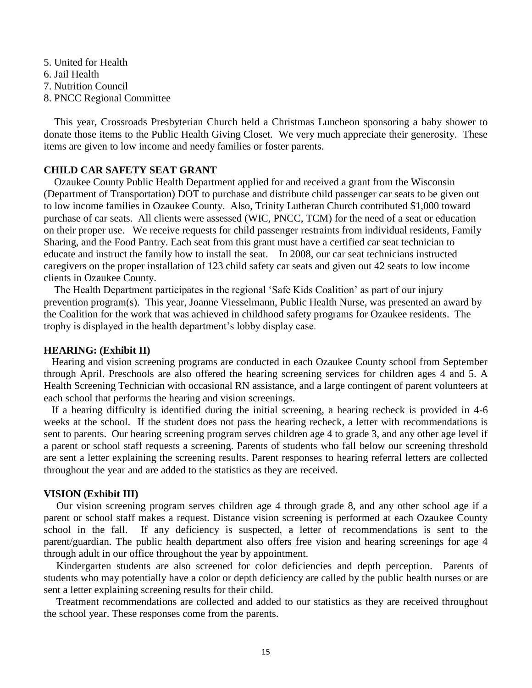- 5. United for Health 6. Jail Health 7. Nutrition Council
- 8. PNCC Regional Committee

 This year, Crossroads Presbyterian Church held a Christmas Luncheon sponsoring a baby shower to donate those items to the Public Health Giving Closet. We very much appreciate their generosity. These items are given to low income and needy families or foster parents.

#### **CHILD CAR SAFETY SEAT GRANT**

 Ozaukee County Public Health Department applied for and received a grant from the Wisconsin (Department of Transportation) DOT to purchase and distribute child passenger car seats to be given out to low income families in Ozaukee County. Also, Trinity Lutheran Church contributed \$1,000 toward purchase of car seats. All clients were assessed (WIC, PNCC, TCM) for the need of a seat or education on their proper use. We receive requests for child passenger restraints from individual residents, Family Sharing, and the Food Pantry. Each seat from this grant must have a certified car seat technician to educate and instruct the family how to install the seat. In 2008, our car seat technicians instructed caregivers on the proper installation of 123 child safety car seats and given out 42 seats to low income clients in Ozaukee County.

The Health Department participates in the regional 'Safe Kids Coalition' as part of our injury prevention program(s). This year, Joanne Viesselmann, Public Health Nurse, was presented an award by the Coalition for the work that was achieved in childhood safety programs for Ozaukee residents. The trophy is displayed in the health department's lobby display case.

#### **HEARING: (Exhibit II)**

Hearing and vision screening programs are conducted in each Ozaukee County school from September through April. Preschools are also offered the hearing screening services for children ages 4 and 5. A Health Screening Technician with occasional RN assistance, and a large contingent of parent volunteers at each school that performs the hearing and vision screenings.

 If a hearing difficulty is identified during the initial screening, a hearing recheck is provided in 4-6 weeks at the school. If the student does not pass the hearing recheck, a letter with recommendations is sent to parents. Our hearing screening program serves children age 4 to grade 3, and any other age level if a parent or school staff requests a screening. Parents of students who fall below our screening threshold are sent a letter explaining the screening results. Parent responses to hearing referral letters are collected throughout the year and are added to the statistics as they are received.

#### **VISION (Exhibit III)**

Our vision screening program serves children age 4 through grade 8, and any other school age if a parent or school staff makes a request. Distance vision screening is performed at each Ozaukee County school in the fall. If any deficiency is suspected, a letter of recommendations is sent to the parent/guardian. The public health department also offers free vision and hearing screenings for age 4 through adult in our office throughout the year by appointment.

Kindergarten students are also screened for color deficiencies and depth perception. Parents of students who may potentially have a color or depth deficiency are called by the public health nurses or are sent a letter explaining screening results for their child.

Treatment recommendations are collected and added to our statistics as they are received throughout the school year. These responses come from the parents.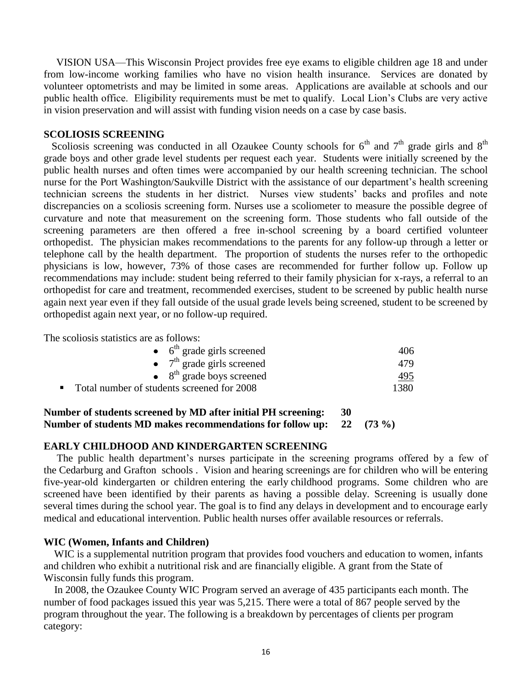VISION USA—This Wisconsin Project provides free eye exams to eligible children age 18 and under from low-income working families who have no vision health insurance. Services are donated by volunteer optometrists and may be limited in some areas. Applications are available at schools and our public health office. Eligibility requirements must be met to qualify. Local Lion's Clubs are very active in vision preservation and will assist with funding vision needs on a case by case basis.

#### **SCOLIOSIS SCREENING**

Scoliosis screening was conducted in all Ozaukee County schools for  $6<sup>th</sup>$  and  $7<sup>th</sup>$  grade girls and  $8<sup>th</sup>$ grade boys and other grade level students per request each year. Students were initially screened by the public health nurses and often times were accompanied by our health screening technician. The school nurse for the Port Washington/Saukville District with the assistance of our department's health screening technician screens the students in her district. Nurses view students' backs and profiles and note discrepancies on a scoliosis screening form. Nurses use a scoliometer to measure the possible degree of curvature and note that measurement on the screening form. Those students who fall outside of the screening parameters are then offered a free in-school screening by a board certified volunteer orthopedist. The physician makes recommendations to the parents for any follow-up through a letter or telephone call by the health department. The proportion of students the nurses refer to the orthopedic physicians is low, however, 73% of those cases are recommended for further follow up. Follow up recommendations may include: student being referred to their family physician for x-rays, a referral to an orthopedist for care and treatment, recommended exercises, student to be screened by public health nurse again next year even if they fall outside of the usual grade levels being screened, student to be screened by orthopedist again next year, or no follow-up required.

The scoliosis statistics are as follows:

|                                            | $\bullet$ 6 <sup>th</sup> grade girls screened | 406. |
|--------------------------------------------|------------------------------------------------|------|
|                                            | • $7th$ grade girls screened                   | 479. |
|                                            | $\bullet$ 8 <sup>th</sup> grade boys screened  | 495  |
| Total number of students screened for 2008 |                                                | 1380 |

#### **Number of students screened by MD after initial PH screening: 30 Number of students MD makes recommendations for follow up: 22 (73 %)**

#### **EARLY CHILDHOOD AND KINDERGARTEN SCREENING**

 The public health department's nurses participate in the screening programs offered by a few of the Cedarburg and Grafton schools . Vision and hearing screenings are for children who will be entering five-year-old kindergarten or children entering the early childhood programs. Some children who are screened have been identified by their parents as having a possible delay. Screening is usually done several times during the school year. The goal is to find any delays in development and to encourage early medical and educational intervention. Public health nurses offer available resources or referrals.

#### **WIC (Women, Infants and Children)**

 WIC is a supplemental nutrition program that provides food vouchers and education to women, infants and children who exhibit a nutritional risk and are financially eligible. A grant from the State of Wisconsin fully funds this program.

 In 2008, the Ozaukee County WIC Program served an average of 435 participants each month. The number of food packages issued this year was 5,215. There were a total of 867 people served by the program throughout the year. The following is a breakdown by percentages of clients per program category: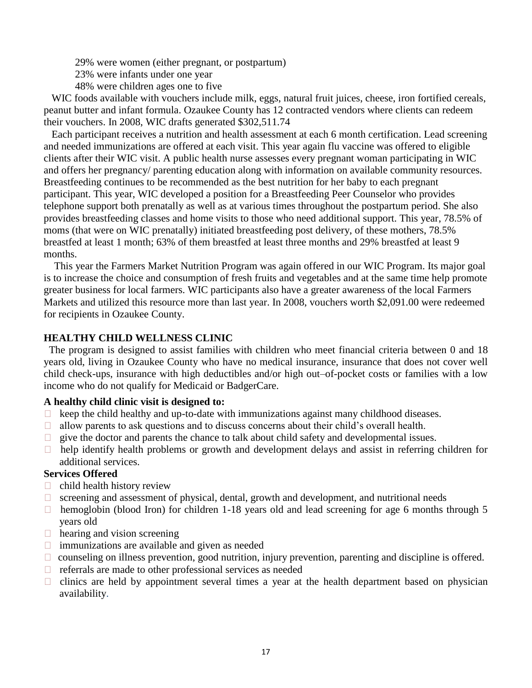- 29% were women (either pregnant, or postpartum)
- 23% were infants under one year
- 48% were children ages one to five

WIC foods available with vouchers include milk, eggs, natural fruit juices, cheese, iron fortified cereals, peanut butter and infant formula. Ozaukee County has 12 contracted vendors where clients can redeem their vouchers. In 2008, WIC drafts generated \$302,511.74

 Each participant receives a nutrition and health assessment at each 6 month certification. Lead screening and needed immunizations are offered at each visit. This year again flu vaccine was offered to eligible clients after their WIC visit. A public health nurse assesses every pregnant woman participating in WIC and offers her pregnancy/ parenting education along with information on available community resources. Breastfeeding continues to be recommended as the best nutrition for her baby to each pregnant participant. This year, WIC developed a position for a Breastfeeding Peer Counselor who provides telephone support both prenatally as well as at various times throughout the postpartum period. She also provides breastfeeding classes and home visits to those who need additional support. This year, 78.5% of moms (that were on WIC prenatally) initiated breastfeeding post delivery, of these mothers, 78.5% breastfed at least 1 month; 63% of them breastfed at least three months and 29% breastfed at least 9 months.

 This year the Farmers Market Nutrition Program was again offered in our WIC Program. Its major goal is to increase the choice and consumption of fresh fruits and vegetables and at the same time help promote greater business for local farmers. WIC participants also have a greater awareness of the local Farmers Markets and utilized this resource more than last year. In 2008, vouchers worth \$2,091.00 were redeemed for recipients in Ozaukee County.

#### **HEALTHY CHILD WELLNESS CLINIC**

 The program is designed to assist families with children who meet financial criteria between 0 and 18 years old, living in Ozaukee County who have no medical insurance, insurance that does not cover well child check-ups, insurance with high deductibles and/or high out–of-pocket costs or families with a low income who do not qualify for Medicaid or BadgerCare.

#### **A healthy child clinic visit is designed to:**

- $\Box$  keep the child healthy and up-to-date with immunizations against many childhood diseases.
- $\Box$  allow parents to ask questions and to discuss concerns about their child's overall health.
- $\Box$  give the doctor and parents the chance to talk about child safety and developmental issues.
- $\Box$  help identify health problems or growth and development delays and assist in referring children for additional services.

#### **Services Offered**

- $\Box$  child health history review
- $\Box$  screening and assessment of physical, dental, growth and development, and nutritional needs
- $\Box$  hemoglobin (blood Iron) for children 1-18 years old and lead screening for age 6 months through 5 years old
- $\Box$  hearing and vision screening
- $\Box$  immunizations are available and given as needed
- $\Box$  counseling on illness prevention, good nutrition, injury prevention, parenting and discipline is offered.
- $\Box$  referrals are made to other professional services as needed
- $\Box$  clinics are held by appointment several times a year at the health department based on physician availability.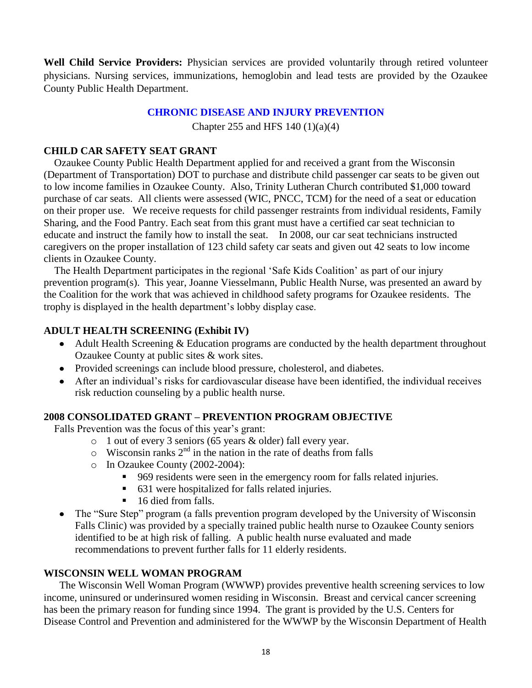**Well Child Service Providers:** Physician services are provided voluntarily through retired volunteer physicians. Nursing services, immunizations, hemoglobin and lead tests are provided by the Ozaukee County Public Health Department.

#### **CHRONIC DISEASE AND INJURY PREVENTION**

Chapter 255 and HFS 140 (1)(a)(4)

#### **CHILD CAR SAFETY SEAT GRANT**

 Ozaukee County Public Health Department applied for and received a grant from the Wisconsin (Department of Transportation) DOT to purchase and distribute child passenger car seats to be given out to low income families in Ozaukee County. Also, Trinity Lutheran Church contributed \$1,000 toward purchase of car seats. All clients were assessed (WIC, PNCC, TCM) for the need of a seat or education on their proper use. We receive requests for child passenger restraints from individual residents, Family Sharing, and the Food Pantry. Each seat from this grant must have a certified car seat technician to educate and instruct the family how to install the seat. In 2008, our car seat technicians instructed caregivers on the proper installation of 123 child safety car seats and given out 42 seats to low income clients in Ozaukee County.

The Health Department participates in the regional 'Safe Kids Coalition' as part of our injury prevention program(s). This year, Joanne Viesselmann, Public Health Nurse, was presented an award by the Coalition for the work that was achieved in childhood safety programs for Ozaukee residents. The trophy is displayed in the health department's lobby display case.

#### **ADULT HEALTH SCREENING (Exhibit IV)**

- Adult Health Screening & Education programs are conducted by the health department throughout Ozaukee County at public sites & work sites.
- Provided screenings can include blood pressure, cholesterol, and diabetes.
- After an individual's risks for cardiovascular disease have been identified, the individual receives risk reduction counseling by a public health nurse.

#### **2008 CONSOLIDATED GRANT – PREVENTION PROGRAM OBJECTIVE**

Falls Prevention was the focus of this year's grant:

- o 1 out of every 3 seniors (65 years & older) fall every year.
- $\circ$  Wisconsin ranks  $2^{nd}$  in the nation in the rate of deaths from falls
- o In Ozaukee County (2002-2004):
	- 969 residents were seen in the emergency room for falls related injuries.
	- 631 were hospitalized for falls related injuries.
	- 16 died from falls.
- The "Sure Step" program (a falls prevention program developed by the University of Wisconsin Falls Clinic) was provided by a specially trained public health nurse to Ozaukee County seniors identified to be at high risk of falling. A public health nurse evaluated and made recommendations to prevent further falls for 11 elderly residents.

#### **WISCONSIN WELL WOMAN PROGRAM**

 The Wisconsin Well Woman Program (WWWP) provides preventive health screening services to low income, uninsured or underinsured women residing in Wisconsin. Breast and cervical cancer screening has been the primary reason for funding since 1994. The grant is provided by the U.S. Centers for Disease Control and Prevention and administered for the WWWP by the Wisconsin Department of Health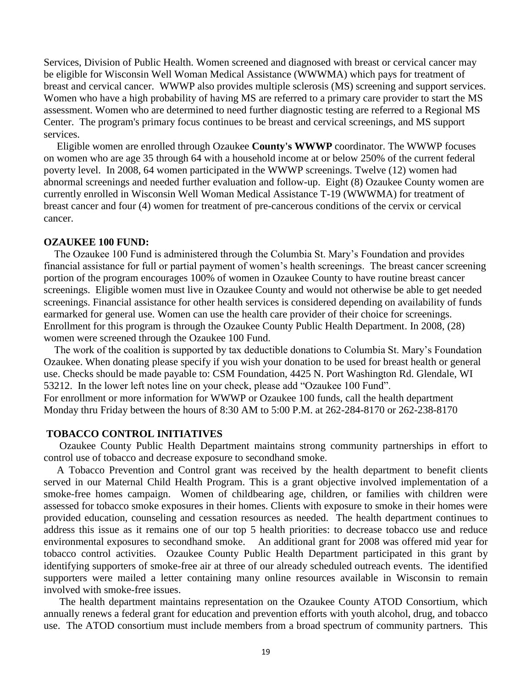Services, Division of Public Health. Women screened and diagnosed with breast or cervical cancer may be eligible for Wisconsin Well Woman Medical Assistance (WWWMA) which pays for treatment of breast and cervical cancer. WWWP also provides multiple sclerosis (MS) screening and support services. Women who have a high probability of having MS are referred to a primary care provider to start the MS assessment. Women who are determined to need further diagnostic testing are referred to a Regional MS Center. The program's primary focus continues to be breast and cervical screenings, and MS support services.

 Eligible women are enrolled through Ozaukee **County's WWWP** coordinator. The WWWP focuses on women who are age 35 through 64 with a household income at or below 250% of the current federal poverty level. In 2008, 64 women participated in the WWWP screenings. Twelve (12) women had abnormal screenings and needed further evaluation and follow-up. Eight (8) Ozaukee County women are currently enrolled in Wisconsin Well Woman Medical Assistance T-19 (WWWMA) for treatment of breast cancer and four (4) women for treatment of pre-cancerous conditions of the cervix or cervical cancer.

#### **OZAUKEE 100 FUND:**

 The Ozaukee 100 Fund is administered through the Columbia St. Mary's Foundation and provides financial assistance for full or partial payment of women's health screenings. The breast cancer screening portion of the program encourages 100% of women in Ozaukee County to have routine breast cancer screenings. Eligible women must live in Ozaukee County and would not otherwise be able to get needed screenings. Financial assistance for other health services is considered depending on availability of funds earmarked for general use. Women can use the health care provider of their choice for screenings. Enrollment for this program is through the Ozaukee County Public Health Department. In 2008, (28) women were screened through the Ozaukee 100 Fund.

 The work of the coalition is supported by tax deductible donations to Columbia St. Mary's Foundation Ozaukee. When donating please specify if you wish your donation to be used for breast health or general use. Checks should be made payable to: CSM Foundation, 4425 N. Port Washington Rd. Glendale, WI 53212. In the lower left notes line on your check, please add "Ozaukee 100 Fund". For enrollment or more information for WWWP or Ozaukee 100 funds, call the health department Monday thru Friday between the hours of 8:30 AM to 5:00 P.M. at 262-284-8170 or 262-238-8170

#### **TOBACCO CONTROL INITIATIVES**

 Ozaukee County Public Health Department maintains strong community partnerships in effort to control use of tobacco and decrease exposure to secondhand smoke.

 A Tobacco Prevention and Control grant was received by the health department to benefit clients served in our Maternal Child Health Program. This is a grant objective involved implementation of a smoke-free homes campaign. Women of childbearing age, children, or families with children were assessed for tobacco smoke exposures in their homes. Clients with exposure to smoke in their homes were provided education, counseling and cessation resources as needed. The health department continues to address this issue as it remains one of our top 5 health priorities: to decrease tobacco use and reduce environmental exposures to secondhand smoke. An additional grant for 2008 was offered mid year for tobacco control activities. Ozaukee County Public Health Department participated in this grant by identifying supporters of smoke-free air at three of our already scheduled outreach events. The identified supporters were mailed a letter containing many online resources available in Wisconsin to remain involved with smoke-free issues.

 The health department maintains representation on the Ozaukee County ATOD Consortium, which annually renews a federal grant for education and prevention efforts with youth alcohol, drug, and tobacco use. The ATOD consortium must include members from a broad spectrum of community partners. This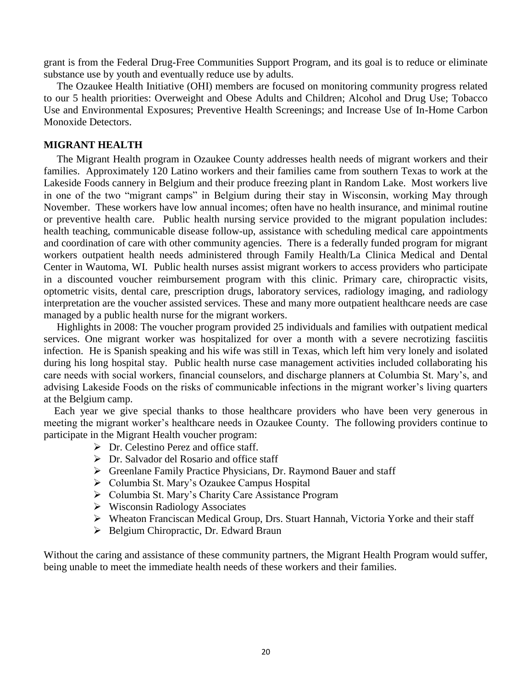grant is from the Federal Drug-Free Communities Support Program, and its goal is to reduce or eliminate substance use by youth and eventually reduce use by adults.

 The Ozaukee Health Initiative (OHI) members are focused on monitoring community progress related to our 5 health priorities: Overweight and Obese Adults and Children; Alcohol and Drug Use; Tobacco Use and Environmental Exposures; Preventive Health Screenings; and Increase Use of In-Home Carbon Monoxide Detectors.

#### **MIGRANT HEALTH**

 The Migrant Health program in Ozaukee County addresses health needs of migrant workers and their families. Approximately 120 Latino workers and their families came from southern Texas to work at the Lakeside Foods cannery in Belgium and their produce freezing plant in Random Lake. Most workers live in one of the two "migrant camps" in Belgium during their stay in Wisconsin, working May through November. These workers have low annual incomes; often have no health insurance, and minimal routine or preventive health care. Public health nursing service provided to the migrant population includes: health teaching, communicable disease follow-up, assistance with scheduling medical care appointments and coordination of care with other community agencies. There is a federally funded program for migrant workers outpatient health needs administered through Family Health/La Clinica Medical and Dental Center in Wautoma, WI. Public health nurses assist migrant workers to access providers who participate in a discounted voucher reimbursement program with this clinic. Primary care, chiropractic visits, optometric visits, dental care, prescription drugs, laboratory services, radiology imaging, and radiology interpretation are the voucher assisted services. These and many more outpatient healthcare needs are case managed by a public health nurse for the migrant workers.

 Highlights in 2008: The voucher program provided 25 individuals and families with outpatient medical services. One migrant worker was hospitalized for over a month with a severe necrotizing fasciitis infection. He is Spanish speaking and his wife was still in Texas, which left him very lonely and isolated during his long hospital stay. Public health nurse case management activities included collaborating his care needs with social workers, financial counselors, and discharge planners at Columbia St. Mary's, and advising Lakeside Foods on the risks of communicable infections in the migrant worker's living quarters at the Belgium camp.

 Each year we give special thanks to those healthcare providers who have been very generous in meeting the migrant worker's healthcare needs in Ozaukee County. The following providers continue to participate in the Migrant Health voucher program:

- $\triangleright$  Dr. Celestino Perez and office staff.
- Dr. Salvador del Rosario and office staff
- Greenlane Family Practice Physicians, Dr. Raymond Bauer and staff
- Columbia St. Mary's Ozaukee Campus Hospital
- ▶ Columbia St. Mary's Charity Care Assistance Program
- Wisconsin Radiology Associates
- Wheaton Franciscan Medical Group, Drs. Stuart Hannah, Victoria Yorke and their staff
- Belgium Chiropractic, Dr. Edward Braun

Without the caring and assistance of these community partners, the Migrant Health Program would suffer, being unable to meet the immediate health needs of these workers and their families.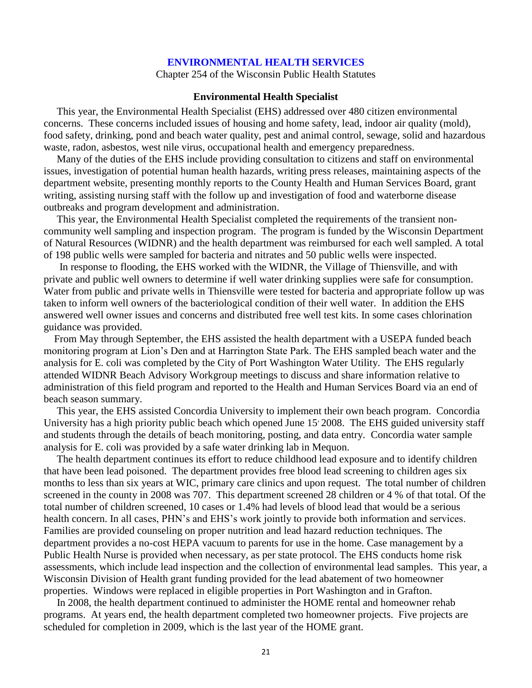#### **ENVIRONMENTAL HEALTH SERVICES**

Chapter 254 of the Wisconsin Public Health Statutes

#### **Environmental Health Specialist**

 This year, the Environmental Health Specialist (EHS) addressed over 480 citizen environmental concerns. These concerns included issues of housing and home safety, lead, indoor air quality (mold), food safety, drinking, pond and beach water quality, pest and animal control, sewage, solid and hazardous waste, radon, asbestos, west nile virus, occupational health and emergency preparedness.

 Many of the duties of the EHS include providing consultation to citizens and staff on environmental issues, investigation of potential human health hazards, writing press releases, maintaining aspects of the department website, presenting monthly reports to the County Health and Human Services Board, grant writing, assisting nursing staff with the follow up and investigation of food and waterborne disease outbreaks and program development and administration.

 This year, the Environmental Health Specialist completed the requirements of the transient noncommunity well sampling and inspection program. The program is funded by the Wisconsin Department of Natural Resources (WIDNR) and the health department was reimbursed for each well sampled. A total of 198 public wells were sampled for bacteria and nitrates and 50 public wells were inspected.

 In response to flooding, the EHS worked with the WIDNR, the Village of Thiensville, and with private and public well owners to determine if well water drinking supplies were safe for consumption. Water from public and private wells in Thiensville were tested for bacteria and appropriate follow up was taken to inform well owners of the bacteriological condition of their well water. In addition the EHS answered well owner issues and concerns and distributed free well test kits. In some cases chlorination guidance was provided.

 From May through September, the EHS assisted the health department with a USEPA funded beach monitoring program at Lion's Den and at Harrington State Park. The EHS sampled beach water and the analysis for E. coli was completed by the City of Port Washington Water Utility. The EHS regularly attended WIDNR Beach Advisory Workgroup meetings to discuss and share information relative to administration of this field program and reported to the Health and Human Services Board via an end of beach season summary.

 This year, the EHS assisted Concordia University to implement their own beach program. Concordia University has a high priority public beach which opened June 15 2008. The EHS guided university staff and students through the details of beach monitoring, posting, and data entry. Concordia water sample analysis for E. coli was provided by a safe water drinking lab in Mequon.

 The health department continues its effort to reduce childhood lead exposure and to identify children that have been lead poisoned. The department provides free blood lead screening to children ages six months to less than six years at WIC, primary care clinics and upon request. The total number of children screened in the county in 2008 was 707. This department screened 28 children or 4 % of that total. Of the total number of children screened, 10 cases or 1.4% had levels of blood lead that would be a serious health concern. In all cases, PHN's and EHS's work jointly to provide both information and services. Families are provided counseling on proper nutrition and lead hazard reduction techniques. The department provides a no-cost HEPA vacuum to parents for use in the home. Case management by a Public Health Nurse is provided when necessary, as per state protocol. The EHS conducts home risk assessments, which include lead inspection and the collection of environmental lead samples. This year, a Wisconsin Division of Health grant funding provided for the lead abatement of two homeowner properties. Windows were replaced in eligible properties in Port Washington and in Grafton.

 In 2008, the health department continued to administer the HOME rental and homeowner rehab programs. At years end, the health department completed two homeowner projects. Five projects are scheduled for completion in 2009, which is the last year of the HOME grant.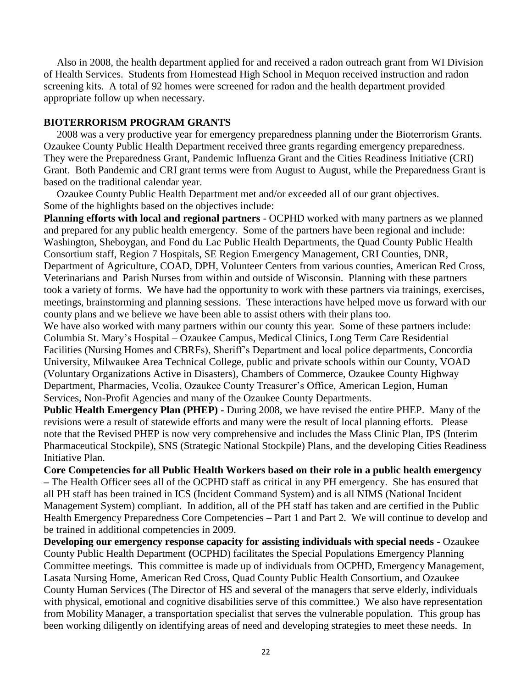Also in 2008, the health department applied for and received a radon outreach grant from WI Division of Health Services. Students from Homestead High School in Mequon received instruction and radon screening kits. A total of 92 homes were screened for radon and the health department provided appropriate follow up when necessary.

#### **BIOTERRORISM PROGRAM GRANTS**

 2008 was a very productive year for emergency preparedness planning under the Bioterrorism Grants. Ozaukee County Public Health Department received three grants regarding emergency preparedness. They were the Preparedness Grant, Pandemic Influenza Grant and the Cities Readiness Initiative (CRI) Grant. Both Pandemic and CRI grant terms were from August to August, while the Preparedness Grant is based on the traditional calendar year.

 Ozaukee County Public Health Department met and/or exceeded all of our grant objectives. Some of the highlights based on the objectives include:

**Planning efforts with local and regional partners** - OCPHD worked with many partners as we planned and prepared for any public health emergency. Some of the partners have been regional and include: Washington, Sheboygan, and Fond du Lac Public Health Departments, the Quad County Public Health Consortium staff, Region 7 Hospitals, SE Region Emergency Management, CRI Counties, DNR, Department of Agriculture, COAD, DPH, Volunteer Centers from various counties, American Red Cross, Veterinarians and Parish Nurses from within and outside of Wisconsin. Planning with these partners took a variety of forms. We have had the opportunity to work with these partners via trainings, exercises, meetings, brainstorming and planning sessions. These interactions have helped move us forward with our county plans and we believe we have been able to assist others with their plans too.

We have also worked with many partners within our county this year. Some of these partners include: Columbia St. Mary's Hospital – Ozaukee Campus, Medical Clinics, Long Term Care Residential Facilities (Nursing Homes and CBRFs), Sheriff's Department and local police departments, Concordia University, Milwaukee Area Technical College, public and private schools within our County, VOAD (Voluntary Organizations Active in Disasters), Chambers of Commerce, Ozaukee County Highway Department, Pharmacies, Veolia, Ozaukee County Treasurer's Office, American Legion, Human Services, Non-Profit Agencies and many of the Ozaukee County Departments.

**Public Health Emergency Plan (PHEP) -** During 2008, we have revised the entire PHEP. Many of the revisions were a result of statewide efforts and many were the result of local planning efforts. Please note that the Revised PHEP is now very comprehensive and includes the Mass Clinic Plan, IPS (Interim Pharmaceutical Stockpile), SNS (Strategic National Stockpile) Plans, and the developing Cities Readiness Initiative Plan.

**Core Competencies for all Public Health Workers based on their role in a public health emergency –** The Health Officer sees all of the OCPHD staff as critical in any PH emergency. She has ensured that all PH staff has been trained in ICS (Incident Command System) and is all NIMS (National Incident Management System) compliant. In addition, all of the PH staff has taken and are certified in the Public Health Emergency Preparedness Core Competencies – Part 1 and Part 2. We will continue to develop and be trained in additional competencies in 2009.

**Developing our emergency response capacity for assisting individuals with special needs -** Ozaukee County Public Health Department **(**OCPHD) facilitates the Special Populations Emergency Planning Committee meetings. This committee is made up of individuals from OCPHD, Emergency Management, Lasata Nursing Home, American Red Cross, Quad County Public Health Consortium, and Ozaukee County Human Services (The Director of HS and several of the managers that serve elderly, individuals with physical, emotional and cognitive disabilities serve of this committee.) We also have representation from Mobility Manager, a transportation specialist that serves the vulnerable population. This group has been working diligently on identifying areas of need and developing strategies to meet these needs. In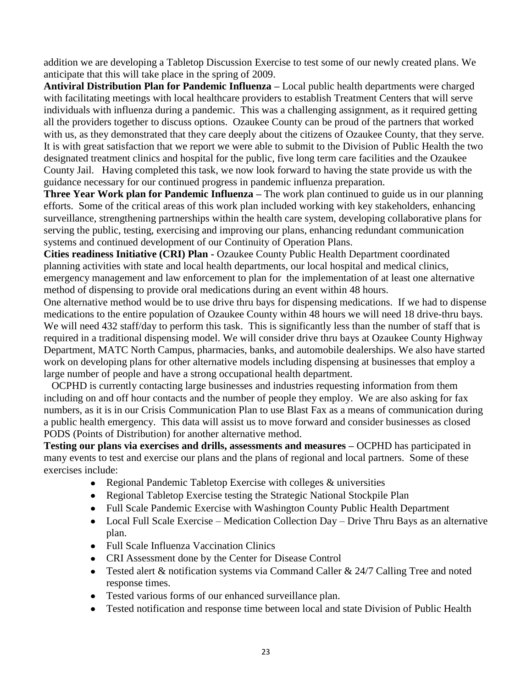addition we are developing a Tabletop Discussion Exercise to test some of our newly created plans. We anticipate that this will take place in the spring of 2009.

**Antiviral Distribution Plan for Pandemic Influenza –** Local public health departments were charged with facilitating meetings with local healthcare providers to establish Treatment Centers that will serve individuals with influenza during a pandemic. This was a challenging assignment, as it required getting all the providers together to discuss options. Ozaukee County can be proud of the partners that worked with us, as they demonstrated that they care deeply about the citizens of Ozaukee County, that they serve. It is with great satisfaction that we report we were able to submit to the Division of Public Health the two designated treatment clinics and hospital for the public, five long term care facilities and the Ozaukee County Jail. Having completed this task, we now look forward to having the state provide us with the guidance necessary for our continued progress in pandemic influenza preparation.

**Three Year Work plan for Pandemic Influenza –** The work plan continued to guide us in our planning efforts. Some of the critical areas of this work plan included working with key stakeholders, enhancing surveillance, strengthening partnerships within the health care system, developing collaborative plans for serving the public, testing, exercising and improving our plans, enhancing redundant communication systems and continued development of our Continuity of Operation Plans.

**Cities readiness Initiative (CRI) Plan -** Ozaukee County Public Health Department coordinated planning activities with state and local health departments, our local hospital and medical clinics, emergency management and law enforcement to plan for the implementation of at least one alternative method of dispensing to provide oral medications during an event within 48 hours.

One alternative method would be to use drive thru bays for dispensing medications. If we had to dispense medications to the entire population of Ozaukee County within 48 hours we will need 18 drive-thru bays. We will need 432 staff/day to perform this task. This is significantly less than the number of staff that is required in a traditional dispensing model. We will consider drive thru bays at Ozaukee County Highway Department, MATC North Campus, pharmacies, banks, and automobile dealerships. We also have started work on developing plans for other alternative models including dispensing at businesses that employ a large number of people and have a strong occupational health department.

 OCPHD is currently contacting large businesses and industries requesting information from them including on and off hour contacts and the number of people they employ. We are also asking for fax numbers, as it is in our Crisis Communication Plan to use Blast Fax as a means of communication during a public health emergency. This data will assist us to move forward and consider businesses as closed PODS (Points of Distribution) for another alternative method.

**Testing our plans via exercises and drills, assessments and measures –** OCPHD has participated in many events to test and exercise our plans and the plans of regional and local partners. Some of these exercises include:

- Regional Pandemic Tabletop Exercise with colleges & universities  $\bullet$
- Regional Tabletop Exercise testing the Strategic National Stockpile Plan
- Full Scale Pandemic Exercise with Washington County Public Health Department
- Local Full Scale Exercise Medication Collection Day Drive Thru Bays as an alternative plan.
- Full Scale Influenza Vaccination Clinics
- CRI Assessment done by the Center for Disease Control
- Tested alert & notification systems via Command Caller & 24/7 Calling Tree and noted response times.
- Tested various forms of our enhanced surveillance plan.
- Tested notification and response time between local and state Division of Public Health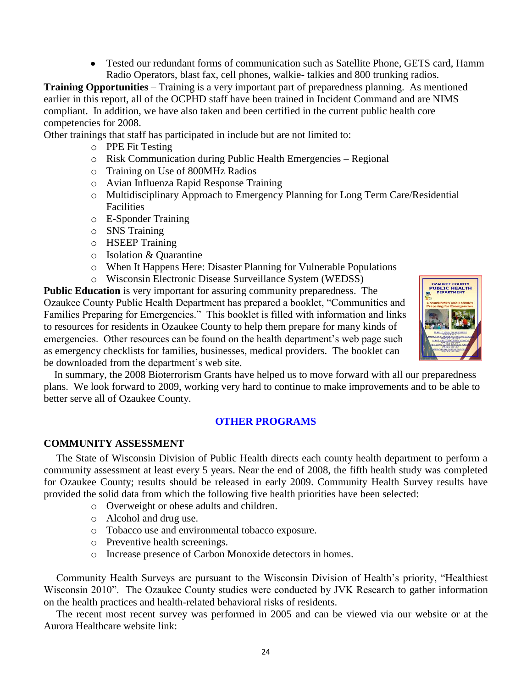Tested our redundant forms of communication such as Satellite Phone, GETS card, Hamm Radio Operators, blast fax, cell phones, walkie- talkies and 800 trunking radios.

**Training Opportunities** – Training is a very important part of preparedness planning. As mentioned earlier in this report, all of the OCPHD staff have been trained in Incident Command and are NIMS compliant. In addition, we have also taken and been certified in the current public health core competencies for 2008.

Other trainings that staff has participated in include but are not limited to:

- o PPE Fit Testing
- o Risk Communication during Public Health Emergencies Regional
- o Training on Use of 800MHz Radios
- o Avian Influenza Rapid Response Training
- o Multidisciplinary Approach to Emergency Planning for Long Term Care/Residential Facilities
- o E-Sponder Training
- o SNS Training
- o HSEEP Training
- o Isolation & Quarantine
- o When It Happens Here: Disaster Planning for Vulnerable Populations
- o Wisconsin Electronic Disease Surveillance System (WEDSS)

**Public Education** is very important for assuring community preparedness. The Ozaukee County Public Health Department has prepared a booklet, "Communities and Families Preparing for Emergencies." This booklet is filled with information and links to resources for residents in Ozaukee County to help them prepare for many kinds of emergencies. Other resources can be found on the health department's web page such as emergency checklists for families, businesses, medical providers. The booklet can be downloaded from the department's web site.



 In summary, the 2008 Bioterrorism Grants have helped us to move forward with all our preparedness plans. We look forward to 2009, working very hard to continue to make improvements and to be able to better serve all of Ozaukee County.

#### **OTHER PROGRAMS**

#### **COMMUNITY ASSESSMENT**

The State of Wisconsin Division of Public Health directs each county health department to perform a community assessment at least every 5 years. Near the end of 2008, the fifth health study was completed for Ozaukee County; results should be released in early 2009. Community Health Survey results have provided the solid data from which the following five health priorities have been selected:

- o Overweight or obese adults and children.
- o Alcohol and drug use.
- o Tobacco use and environmental tobacco exposure.
- o Preventive health screenings.
- o Increase presence of Carbon Monoxide detectors in homes.

Community Health Surveys are pursuant to the Wisconsin Division of Health's priority, "Healthiest Wisconsin 2010". The Ozaukee County studies were conducted by JVK Research to gather information on the health practices and health-related behavioral risks of residents.

The recent most recent survey was performed in 2005 and can be viewed via our website or at the Aurora Healthcare website link: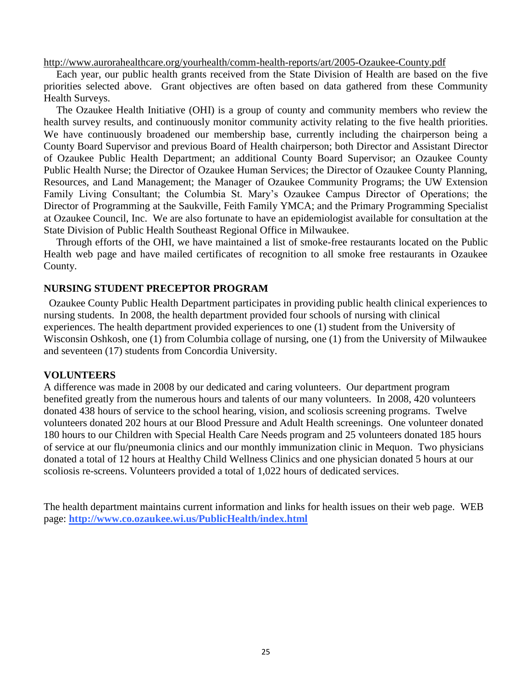<http://www.aurorahealthcare.org/yourhealth/comm-health-reports/art/2005-Ozaukee-County.pdf>

Each year, our public health grants received from the State Division of Health are based on the five priorities selected above. Grant objectives are often based on data gathered from these Community Health Surveys.

The Ozaukee Health Initiative (OHI) is a group of county and community members who review the health survey results, and continuously monitor community activity relating to the five health priorities. We have continuously broadened our membership base, currently including the chairperson being a County Board Supervisor and previous Board of Health chairperson; both Director and Assistant Director of Ozaukee Public Health Department; an additional County Board Supervisor; an Ozaukee County Public Health Nurse; the Director of Ozaukee Human Services; the Director of Ozaukee County Planning, Resources, and Land Management; the Manager of Ozaukee Community Programs; the UW Extension Family Living Consultant; the Columbia St. Mary's Ozaukee Campus Director of Operations; the Director of Programming at the Saukville, Feith Family YMCA; and the Primary Programming Specialist at Ozaukee Council, Inc. We are also fortunate to have an epidemiologist available for consultation at the State Division of Public Health Southeast Regional Office in Milwaukee.

Through efforts of the OHI, we have maintained a list of smoke-free restaurants located on the Public Health web page and have mailed certificates of recognition to all smoke free restaurants in Ozaukee County.

#### **NURSING STUDENT PRECEPTOR PROGRAM**

 Ozaukee County Public Health Department participates in providing public health clinical experiences to nursing students. In 2008, the health department provided four schools of nursing with clinical experiences. The health department provided experiences to one (1) student from the University of Wisconsin Oshkosh, one (1) from Columbia collage of nursing, one (1) from the University of Milwaukee and seventeen (17) students from Concordia University.

#### **VOLUNTEERS**

A difference was made in 2008 by our dedicated and caring volunteers. Our department program benefited greatly from the numerous hours and talents of our many volunteers. In 2008, 420 volunteers donated 438 hours of service to the school hearing, vision, and scoliosis screening programs. Twelve volunteers donated 202 hours at our Blood Pressure and Adult Health screenings. One volunteer donated 180 hours to our Children with Special Health Care Needs program and 25 volunteers donated 185 hours of service at our flu/pneumonia clinics and our monthly immunization clinic in Mequon. Two physicians donated a total of 12 hours at Healthy Child Wellness Clinics and one physician donated 5 hours at our scoliosis re-screens. Volunteers provided a total of 1,022 hours of dedicated services.

The health department maintains current information and links for health issues on their web page. WEB page: **<http://www.co.ozaukee.wi.us/PublicHealth/index.html>**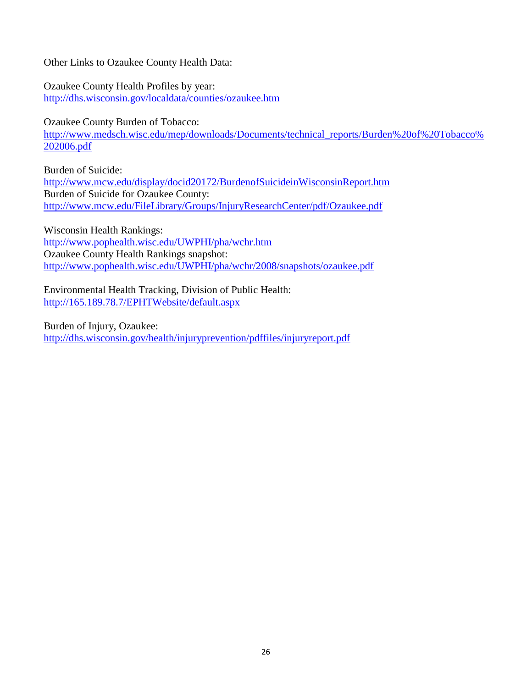Other Links to Ozaukee County Health Data:

Ozaukee County Health Profiles by year: <http://dhs.wisconsin.gov/localdata/counties/ozaukee.htm>

Ozaukee County Burden of Tobacco: [http://www.medsch.wisc.edu/mep/downloads/Documents/technical\\_reports/Burden%20of%20Tobacco%](http://www.medsch.wisc.edu/mep/downloads/Documents/technical_reports/Burden%20of%20Tobacco%202006.pdf) [202006.pdf](http://www.medsch.wisc.edu/mep/downloads/Documents/technical_reports/Burden%20of%20Tobacco%202006.pdf)

Burden of Suicide: <http://www.mcw.edu/display/docid20172/BurdenofSuicideinWisconsinReport.htm> Burden of Suicide for Ozaukee County: <http://www.mcw.edu/FileLibrary/Groups/InjuryResearchCenter/pdf/Ozaukee.pdf>

Wisconsin Health Rankings: <http://www.pophealth.wisc.edu/UWPHI/pha/wchr.htm> Ozaukee County Health Rankings snapshot: <http://www.pophealth.wisc.edu/UWPHI/pha/wchr/2008/snapshots/ozaukee.pdf>

Environmental Health Tracking, Division of Public Health: <http://165.189.78.7/EPHTWebsite/default.aspx>

Burden of Injury, Ozaukee:

<http://dhs.wisconsin.gov/health/injuryprevention/pdffiles/injuryreport.pdf>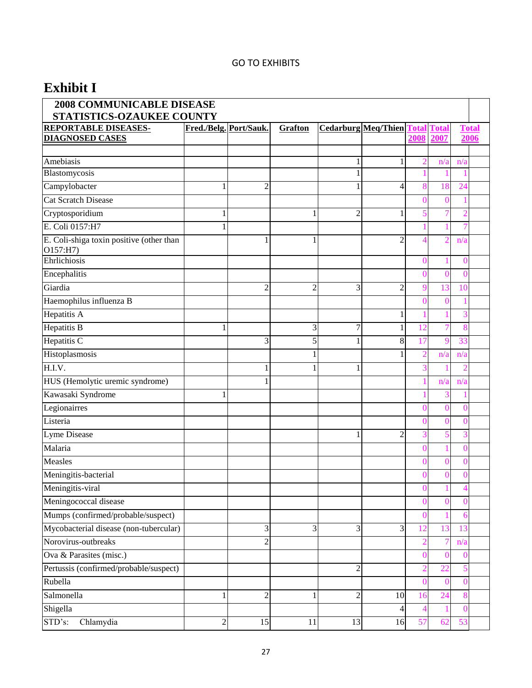#### GO TO EXHIBITS

# **Exhibit I**

| <b>2008 COMMUNICABLE DISEASE</b><br>STATISTICS-OZAUKEE COUNTY |                        |                |                |                |                                  |                |                |              |  |
|---------------------------------------------------------------|------------------------|----------------|----------------|----------------|----------------------------------|----------------|----------------|--------------|--|
| REPORTABLE DISEASES-                                          | Fred./Belg. Port/Sauk. |                | <b>Grafton</b> |                | <b>Cedarburg Meq/Thien Total</b> |                | <b>Total</b>   | <b>Total</b> |  |
| <b>DIAGNOSED CASES</b>                                        |                        |                |                |                |                                  | 2008           | 2007           | 2006         |  |
|                                                               |                        |                |                |                |                                  |                |                |              |  |
| Amebiasis                                                     |                        |                |                | 1              | 1                                | 2              | n/a            | n/a          |  |
| Blastomycosis                                                 |                        |                |                | 1              |                                  |                |                |              |  |
| Campylobacter                                                 | 1                      | $\overline{c}$ |                |                | 4                                | 8              | 18             | 24           |  |
| <b>Cat Scratch Disease</b>                                    |                        |                |                |                |                                  | 0              | 0              |              |  |
| Cryptosporidium                                               | 1                      |                | 1              | $\overline{c}$ | 1                                | 5              |                | 2            |  |
| E. Coli 0157:H7                                               | 1                      |                |                |                |                                  |                |                |              |  |
| E. Coli-shiga toxin positive (other than<br>O157:H7           |                        | 1              | 1              |                | $\overline{2}$                   | 4              | $\overline{2}$ | n/a          |  |
| Ehrlichiosis                                                  |                        |                |                |                |                                  |                |                | 0            |  |
| Encephalitis                                                  |                        |                |                |                |                                  |                | 0              | 0            |  |
| Giardia                                                       |                        | $\overline{2}$ | $\overline{2}$ | 3              | $\overline{2}$                   | 9              | 13             | 10           |  |
| Haemophilus influenza B                                       |                        |                |                |                |                                  | 0              | O              |              |  |
| Hepatitis A                                                   |                        |                |                |                | 1                                |                |                | 3            |  |
| <b>Hepatitis B</b>                                            | 1                      |                | 3              | 7              | 1                                | 12             | 7              | 8            |  |
| Hepatitis C                                                   |                        | 3              | 5              |                | 8                                |                | g              | 33           |  |
| Histoplasmosis                                                |                        |                | 1              |                | 1                                | $\mathcal{D}$  | n/a            | n/a          |  |
| H.I.V.                                                        |                        |                |                | 1              |                                  | 3              |                |              |  |
| HUS (Hemolytic uremic syndrome)                               |                        | 1              |                |                |                                  |                | n/a            | n/a          |  |
| Kawasaki Syndrome                                             | 1                      |                |                |                |                                  |                |                |              |  |
| Legionairres                                                  |                        |                |                |                |                                  | 0              | $\Omega$       | 0            |  |
| Listeria                                                      |                        |                |                |                |                                  | 0              | 0              | 0            |  |
| Lyme Disease                                                  |                        |                |                | 1              | $\overline{2}$                   | 3              | 5              |              |  |
| Malaria                                                       |                        |                |                |                |                                  |                |                | $\Omega$     |  |
| Measles                                                       |                        |                |                |                |                                  |                | O              | ſ            |  |
| Meningitis-bacterial                                          |                        |                |                |                |                                  |                | 0              | $\Omega$     |  |
| Meningitis-viral                                              |                        |                |                |                |                                  | 0              |                | 4            |  |
| Meningococcal disease                                         |                        |                |                |                |                                  | $\Omega$       |                | $\Omega$     |  |
| Mumps (confirmed/probable/suspect)                            |                        |                |                |                |                                  | 0              |                | 6            |  |
| Mycobacterial disease (non-tubercular)                        |                        | 3              | 3              | 3              | 3                                |                | 13             | 13           |  |
| Norovirus-outbreaks                                           |                        | $\overline{2}$ |                |                |                                  |                | 7              | n/a          |  |
| Ova & Parasites (misc.)                                       |                        |                |                |                |                                  |                |                | $\Omega$     |  |
| Pertussis (confirmed/probable/suspect)                        |                        |                |                | $\overline{2}$ |                                  | $\overline{2}$ | 22             |              |  |
| Rubella                                                       |                        |                |                |                |                                  | 0              | $\mathcal{O}$  | $\Omega$     |  |
| Salmonella                                                    | 1                      | $\overline{c}$ | 1              | $\overline{2}$ | 10                               | 16             | 24             | 8            |  |
| Shigella                                                      |                        |                |                |                | 4                                | $\overline{4}$ |                | 0            |  |
| STD's:<br>Chlamydia                                           | $\overline{c}$         | 15             | 11             | 13             | 16                               | 57             | 62             | 53           |  |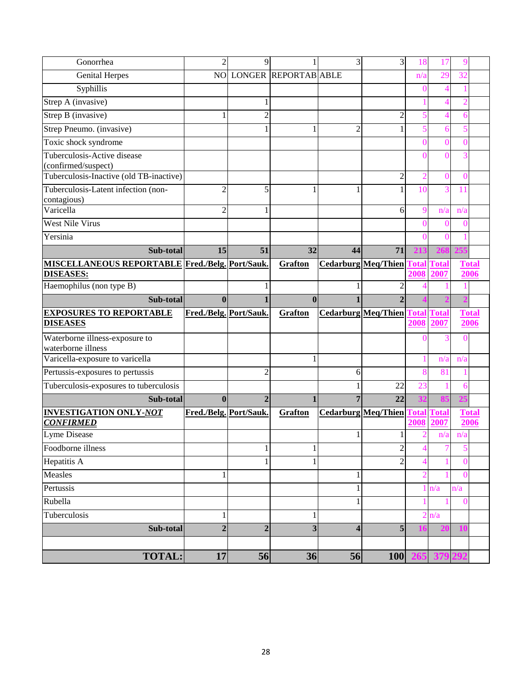| Gonorrhea                                              | $\overline{2}$         | 9              |                             | 3                          | 3                          | 18             | 17             | q            |
|--------------------------------------------------------|------------------------|----------------|-----------------------------|----------------------------|----------------------------|----------------|----------------|--------------|
| <b>Genital Herpes</b>                                  | NO                     |                | <b>LONGER REPORTAB ABLE</b> |                            |                            | n/a            | 29             | 32           |
| Syphillis                                              |                        |                |                             |                            |                            | O              | $\overline{4}$ |              |
| Strep A (invasive)                                     |                        | 1              |                             |                            |                            |                | 4              |              |
| Strep B (invasive)                                     |                        | $\overline{c}$ |                             |                            | $\overline{c}$             | 5              | 4              | 6            |
| Strep Pneumo. (invasive)                               |                        | 1              | 1                           | $\overline{2}$             | 1                          |                | 6              |              |
| Toxic shock syndrome                                   |                        |                |                             |                            |                            | 0              | $\Omega$       | 0            |
| Tuberculosis-Active disease                            |                        |                |                             |                            |                            |                |                |              |
| (confirmed/suspect)                                    |                        |                |                             |                            |                            |                |                |              |
| Tuberculosis-Inactive (old TB-inactive)                |                        |                |                             |                            | $\overline{c}$             | 2              | $\Omega$       | ∩            |
| Tuberculosis-Latent infection (non-<br>contagious)     | $\overline{2}$         | 5              | 1                           | 1                          | 1                          | 10             | 3              | 11           |
| Varicella                                              | $\overline{2}$         | 1              |                             |                            | 6                          | $\mathbf Q$    | n/a            | n/a          |
| <b>West Nile Virus</b>                                 |                        |                |                             |                            |                            |                | 0              |              |
| Yersinia                                               |                        |                |                             |                            |                            | $\sqrt{ }$     | $\Omega$       |              |
| Sub-total                                              | 15                     | 51             | 32                          | 44                         | 71                         | 213            |                |              |
| <b>MISCELLANEOUS REPORTABLE Fred./Belg. Port/Sauk.</b> |                        |                | <b>Grafton</b>              |                            | <b>Cedarburg Meq/Thien</b> | Total          | <b>Total</b>   | <b>Total</b> |
| <b>DISEASES:</b>                                       |                        |                |                             |                            |                            | 2008           | 2007           | 2006         |
| Haemophilus (non type B)                               |                        | 1              |                             | 1                          | $\overline{c}$             |                |                |              |
| Sub-total                                              | $\mathbf{0}$           | $\mathbf{1}$   | $\mathbf{0}$                | $\mathbf{1}$               | $\overline{2}$             |                |                |              |
| <b>EXPOSURES TO REPORTABLE</b>                         | Fred./Belg. Port/Sauk. |                | Grafton                     |                            | <b>Cedarburg Meg/Thien</b> | <b>Total</b>   | <b>Total</b>   | <b>Total</b> |
| <b>DISEASES</b>                                        |                        |                |                             |                            |                            | 2008           | 2007           | 2006         |
| Waterborne illness-exposure to<br>waterborne illness   |                        |                |                             |                            |                            |                |                |              |
|                                                        |                        |                |                             |                            |                            |                |                |              |
| Varicella-exposure to varicella                        |                        |                | 1                           |                            |                            |                | n/a            | n/a          |
| Pertussis-exposures to pertussis                       |                        | $\overline{c}$ |                             | 6                          |                            |                | 81             |              |
| Tuberculosis-exposures to tuberculosis                 |                        |                |                             | 1                          | 22                         | 23             |                | 6            |
| Sub-total                                              | $\bf{0}$               | $\overline{2}$ | $\mathbf{1}$                | $\overline{7}$             | 22                         |                |                |              |
| <b>INVESTIGATION ONLY-NOT</b>                          | Fred./Belg. Port/Sauk. |                | <b>Grafton</b>              | <b>Cedarburg Meq/Thien</b> |                            | <b>l</b> otal  | Total          | <b>Total</b> |
| <b>CONFIRMED</b>                                       |                        |                |                             |                            |                            | 2008           | 2007           | 2006         |
| Lyme Disease                                           |                        |                |                             |                            |                            | 2              | n/a            | n/a          |
| Foodborne illness                                      |                        | 1              | $\bf{l}$                    |                            | $\overline{\mathbf{c}}$    | 4              | T              | 5            |
| Hepatitis A                                            |                        | $\mathbf{1}$   | $\mathbf{1}$                |                            | $\overline{2}$             | $\overline{4}$ |                | $\Omega$     |
| Measles                                                | 1                      |                |                             | 1                          |                            | $\overline{2}$ |                | $\theta$     |
| Pertussis                                              |                        |                |                             | $\,1$                      |                            |                | n/a            | n/a          |
| Rubella                                                |                        |                |                             | $\mathbf{1}$               |                            |                |                | $\Omega$     |
| Tuberculosis                                           | 1                      |                | 1                           |                            |                            | $\overline{2}$ | n/a            |              |
| Sub-total                                              | $\overline{2}$         | $\overline{2}$ | $\overline{\mathbf{3}}$     | $\overline{\mathbf{4}}$    | 5                          | 10             |                |              |
| <b>TOTAL:</b>                                          | 17                     | 56             | 36                          | 56                         | 100                        | 265            |                |              |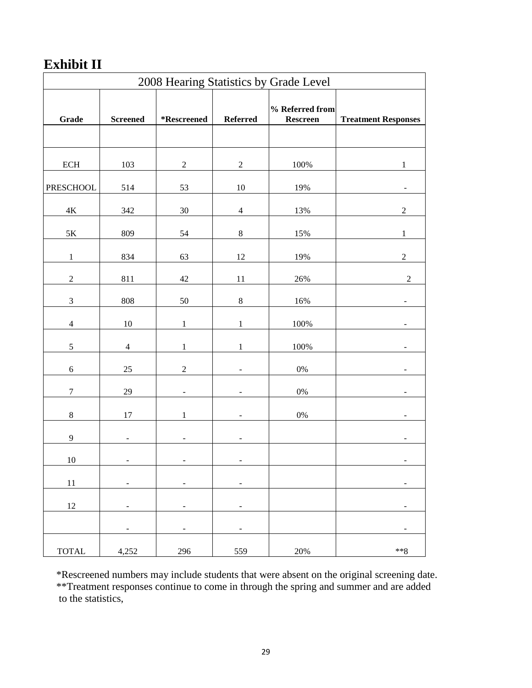# **Exhibit II**

| 2008 Hearing Statistics by Grade Level |                          |                          |                          |                                    |                            |  |  |
|----------------------------------------|--------------------------|--------------------------|--------------------------|------------------------------------|----------------------------|--|--|
| Grade                                  | <b>Screened</b>          | *Rescreened              | <b>Referred</b>          | % Referred from<br><b>Rescreen</b> | <b>Treatment Responses</b> |  |  |
|                                        |                          |                          |                          |                                    |                            |  |  |
| $\mbox{ECH}$                           | 103                      | $\sqrt{2}$               | $\boldsymbol{2}$         | 100%                               | 1                          |  |  |
| PRESCHOOL                              | 514                      | 53                       | $10\,$                   | 19%                                |                            |  |  |
| $4\mathrm{K}$                          | 342                      | $30\,$                   | $\overline{4}$           | 13%                                | $\sqrt{2}$                 |  |  |
| $5K$                                   | 809                      | 54                       | $\,8\,$                  | 15%                                | $\mathbf 1$                |  |  |
| $\mathbf{1}$                           | 834                      | 63                       | 12                       | 19%                                | $\sqrt{2}$                 |  |  |
| $\boldsymbol{2}$                       | 811                      | $42\,$                   | 11                       | 26%                                | $\sqrt{2}$                 |  |  |
| $\mathfrak{Z}$                         | $808\,$                  | $50\,$                   | $\,8\,$                  | 16%                                |                            |  |  |
| $\overline{4}$                         | $10\,$                   | $\,1\,$                  | $\,1$                    | 100%                               |                            |  |  |
| $\sqrt{5}$                             | $\overline{4}$           | $\mathbf{1}$             | $\mathbf 1$              | 100%                               |                            |  |  |
| $\sqrt{6}$                             | $25\,$                   | $\sqrt{2}$               |                          | $0\%$                              |                            |  |  |
| $\boldsymbol{7}$                       | 29                       |                          |                          | $0\%$                              |                            |  |  |
| $\,8\,$                                | 17                       | $\mathbf{1}$             |                          | $0\%$                              |                            |  |  |
| $\overline{9}$                         |                          |                          |                          |                                    |                            |  |  |
| $10\,$                                 | ÷                        | $\overline{a}$           | ÷                        |                                    | -                          |  |  |
| $11\,$                                 | $\overline{\phantom{m}}$ | $\overline{\phantom{a}}$ | $\overline{a}$           |                                    |                            |  |  |
| $12\,$                                 |                          |                          | ÷,                       |                                    |                            |  |  |
|                                        | $\overline{\phantom{a}}$ | $\overline{\phantom{a}}$ | $\overline{\phantom{a}}$ |                                    | $\overline{\phantom{a}}$   |  |  |
| <b>TOTAL</b>                           | 4,252                    | 296                      | 559                      | 20%                                | $***8$                     |  |  |

\*Rescreened numbers may include students that were absent on the original screening date. \*\*Treatment responses continue to come in through the spring and summer and are added

to the statistics,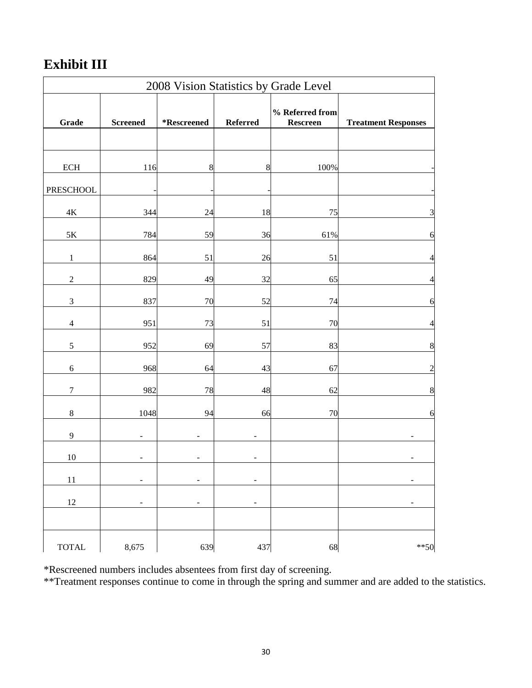# **Exhibit III**

| 2008 Vision Statistics by Grade Level |                 |                          |                          |                             |                            |  |  |  |  |  |
|---------------------------------------|-----------------|--------------------------|--------------------------|-----------------------------|----------------------------|--|--|--|--|--|
| Grade                                 | <b>Screened</b> | *Rescreened              | Referred                 | % Referred from<br>Rescreen | <b>Treatment Responses</b> |  |  |  |  |  |
|                                       |                 |                          |                          |                             |                            |  |  |  |  |  |
| <b>ECH</b>                            | 116             | 8                        | 8                        | 100%                        |                            |  |  |  |  |  |
| <b>PRESCHOOL</b>                      |                 |                          |                          |                             |                            |  |  |  |  |  |
| $4\mathrm{K}$                         | 344             | 24                       | 18                       | 75                          | $\mathfrak{Z}$             |  |  |  |  |  |
| $5\mathrm{K}$                         | 784             | 59                       | 36                       | 61%                         | 6                          |  |  |  |  |  |
| $\,1$                                 | 864             | 51                       | 26                       | 51                          | $\overline{4}$             |  |  |  |  |  |
| $\sqrt{2}$                            | 829             | 49                       | 32                       | 65                          | $\overline{\mathcal{L}}$   |  |  |  |  |  |
| $\mathfrak{Z}$                        | 837             | 70                       | 52                       | 74                          | 6                          |  |  |  |  |  |
| $\overline{4}$                        | 951             | 73                       | 51                       | 70                          | $\overline{\mathcal{L}}$   |  |  |  |  |  |
| $\sqrt{5}$                            | 952             | 69                       | 57                       | 83                          | $\boldsymbol{8}$           |  |  |  |  |  |
| $\sqrt{6}$                            | 968             | 64                       | 43                       | 67                          | $\boldsymbol{2}$           |  |  |  |  |  |
| $\boldsymbol{7}$                      | 982             | 78                       | 48                       | 62                          | $\bf 8$                    |  |  |  |  |  |
| $\,8\,$                               | 1048            | 94                       | 66                       | 70                          | 6                          |  |  |  |  |  |
| 9                                     |                 |                          |                          |                             |                            |  |  |  |  |  |
| $10\,$                                |                 |                          |                          |                             |                            |  |  |  |  |  |
| $11\,$                                | ÷               | $\blacksquare$           | $\overline{\phantom{a}}$ |                             |                            |  |  |  |  |  |
| $12\,$                                | ۰               | $\overline{\phantom{a}}$ | $\overline{\phantom{a}}$ |                             | ۰                          |  |  |  |  |  |
|                                       |                 |                          |                          |                             |                            |  |  |  |  |  |
| $\ensuremath{\mathsf{TOTAL}}$         | 8,675           | 639                      | 437                      | 68                          | $***50$                    |  |  |  |  |  |

\*Rescreened numbers includes absentees from first day of screening.

\*\*Treatment responses continue to come in through the spring and summer and are added to the statistics.